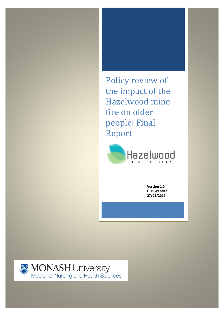Policy review of the impact of the Hazelwood mine fire on older people: Final Report



**Version 1.0 HHS Website 27/02/2017**

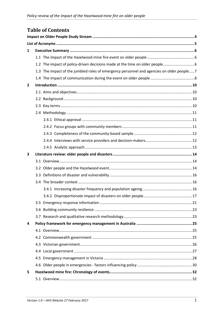# **Table of Contents**

| 1            |     |                                                                                          |  |  |
|--------------|-----|------------------------------------------------------------------------------------------|--|--|
|              |     |                                                                                          |  |  |
|              |     |                                                                                          |  |  |
|              |     | 1.3 The impact of the jumbled roles of emergency personnel and agencies on older people7 |  |  |
|              |     |                                                                                          |  |  |
| $\mathbf{2}$ |     |                                                                                          |  |  |
|              |     |                                                                                          |  |  |
|              |     |                                                                                          |  |  |
|              |     |                                                                                          |  |  |
|              |     |                                                                                          |  |  |
|              |     |                                                                                          |  |  |
|              |     |                                                                                          |  |  |
|              |     |                                                                                          |  |  |
|              |     |                                                                                          |  |  |
|              |     |                                                                                          |  |  |
| 3            |     |                                                                                          |  |  |
|              |     |                                                                                          |  |  |
|              |     |                                                                                          |  |  |
|              | 3.3 |                                                                                          |  |  |
|              |     |                                                                                          |  |  |
|              |     |                                                                                          |  |  |
|              |     |                                                                                          |  |  |
|              |     |                                                                                          |  |  |
|              |     |                                                                                          |  |  |
|              |     |                                                                                          |  |  |
| 4            |     |                                                                                          |  |  |
|              |     |                                                                                          |  |  |
|              |     |                                                                                          |  |  |
|              |     |                                                                                          |  |  |
|              |     |                                                                                          |  |  |
|              |     |                                                                                          |  |  |
|              |     |                                                                                          |  |  |
| 5            |     |                                                                                          |  |  |
|              |     |                                                                                          |  |  |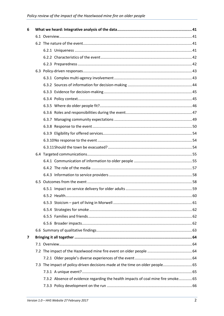| 6                       |  |                                                                                   |  |  |
|-------------------------|--|-----------------------------------------------------------------------------------|--|--|
|                         |  |                                                                                   |  |  |
|                         |  |                                                                                   |  |  |
|                         |  |                                                                                   |  |  |
|                         |  |                                                                                   |  |  |
|                         |  |                                                                                   |  |  |
|                         |  |                                                                                   |  |  |
|                         |  |                                                                                   |  |  |
|                         |  |                                                                                   |  |  |
|                         |  |                                                                                   |  |  |
|                         |  |                                                                                   |  |  |
|                         |  |                                                                                   |  |  |
|                         |  |                                                                                   |  |  |
|                         |  |                                                                                   |  |  |
|                         |  |                                                                                   |  |  |
|                         |  |                                                                                   |  |  |
|                         |  |                                                                                   |  |  |
|                         |  |                                                                                   |  |  |
|                         |  |                                                                                   |  |  |
|                         |  |                                                                                   |  |  |
|                         |  |                                                                                   |  |  |
|                         |  |                                                                                   |  |  |
|                         |  |                                                                                   |  |  |
|                         |  |                                                                                   |  |  |
|                         |  |                                                                                   |  |  |
|                         |  |                                                                                   |  |  |
|                         |  |                                                                                   |  |  |
|                         |  |                                                                                   |  |  |
|                         |  |                                                                                   |  |  |
|                         |  |                                                                                   |  |  |
| $\overline{\mathbf{z}}$ |  |                                                                                   |  |  |
|                         |  |                                                                                   |  |  |
|                         |  |                                                                                   |  |  |
|                         |  |                                                                                   |  |  |
|                         |  | 7.3 The impact of policy-driven decisions made at the time on older people 65     |  |  |
|                         |  |                                                                                   |  |  |
|                         |  | 7.3.2 Absence of evidence regarding the health impacts of coal mine fire smoke 65 |  |  |
|                         |  |                                                                                   |  |  |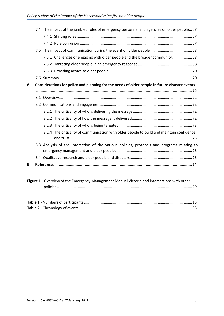|   |  | 7.4 The impact of the jumbled roles of emergency personnel and agencies on older people67      |  |  |  |
|---|--|------------------------------------------------------------------------------------------------|--|--|--|
|   |  |                                                                                                |  |  |  |
|   |  |                                                                                                |  |  |  |
|   |  |                                                                                                |  |  |  |
|   |  | 7.5.1 Challenges of engaging with older people and the broader community  68                   |  |  |  |
|   |  |                                                                                                |  |  |  |
|   |  |                                                                                                |  |  |  |
|   |  |                                                                                                |  |  |  |
| 8 |  | Considerations for policy and planning for the needs of older people in future disaster events |  |  |  |
|   |  |                                                                                                |  |  |  |
|   |  |                                                                                                |  |  |  |
|   |  |                                                                                                |  |  |  |
|   |  |                                                                                                |  |  |  |
|   |  |                                                                                                |  |  |  |
|   |  |                                                                                                |  |  |  |
|   |  | 8.2.4 The criticality of communication with older people to build and maintain confidence      |  |  |  |
|   |  | 8.3 Analysis of the interaction of the various policies, protocols and programs relating to    |  |  |  |
|   |  |                                                                                                |  |  |  |
| 9 |  |                                                                                                |  |  |  |
|   |  | Figure 1 - Overview of the Emergency Management Manual Victoria and intersections with other   |  |  |  |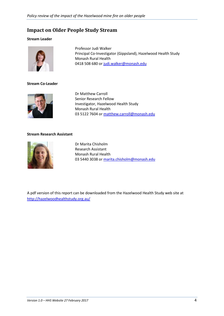# <span id="page-4-0"></span>**Impact on Older People Study Stream**

#### **Stream Leader**



Professor Judi Walker Principal Co-Investigator (Gippsland), Hazelwood Health Study Monash Rural Health 0418 508 680 or [judi.walker@monash.edu](mailto:judi.walker@monash.edu)

#### **Stream Co-Leader**



Dr Matthew Carroll Senior Research Fellow Investigator, Hazelwood Health Study Monash Rural Health 03 5122 7604 or [matthew.carroll@monash.edu](mailto:matthew.carroll@monash.edu)

#### **Stream Research Assistant**



Dr Marita Chisholm Research Assistant Monash Rural Health 03 5440 3038 or [marita.chisholm@monash.edu](mailto:marita.chisholm@monash.edu)

A pdf version of this report can be downloaded from the Hazelwood Health Study web site at <http://hazelwoodhealthstudy.org.au/>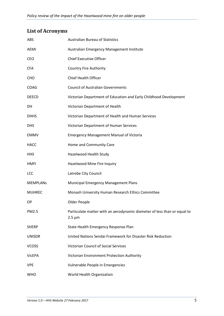# <span id="page-5-0"></span>**List of Acronyms**

| ABS             | <b>Australian Bureau of Statistics</b>                                                  |
|-----------------|-----------------------------------------------------------------------------------------|
| AEMI            | Australian Emergency Management Institute                                               |
| CEO             | <b>Chief Executive Officer</b>                                                          |
| <b>CFA</b>      | <b>Country Fire Authority</b>                                                           |
| <b>CHO</b>      | <b>Chief Health Officer</b>                                                             |
| <b>COAG</b>     | <b>Council of Australian Governments</b>                                                |
| <b>DEECD</b>    | Victorian Department of Education and Early Childhood Development                       |
| DH              | Victorian Department of Health                                                          |
| <b>DHHS</b>     | Victorian Department of Health and Human Services                                       |
| <b>DHS</b>      | Victorian Department of Human Services                                                  |
| <b>EMMV</b>     | <b>Emergency Management Manual of Victoria</b>                                          |
| HACC            | Home and Community Care                                                                 |
| <b>HHS</b>      | Hazelwood Health Study                                                                  |
| HMFI            | Hazelwood Mine Fire Inquiry                                                             |
| <b>LCC</b>      | Latrobe City Council                                                                    |
| <b>MEMPLANS</b> | <b>Municipal Emergency Management Plans</b>                                             |
| <b>MUHREC</b>   | Monash University Human Research Ethics Committee                                       |
| ОP              | Older People                                                                            |
| PM2.5           | Particulate matter with an aerodynamic diameter of less than or equal to<br>$2.5 \mu m$ |
| <b>SHERP</b>    | State Health Emergency Response Plan                                                    |
| <b>UNISDR</b>   | United Nations Sendai Framework for Disaster Risk Reduction                             |
| <b>VCOSS</b>    | <b>Victorian Council of Social Services</b>                                             |
| <b>VicEPA</b>   | Victorian Environment Protection Authority                                              |
| <b>VPE</b>      | Vulnerable People in Emergencies                                                        |
| <b>WHO</b>      | World Health Organization                                                               |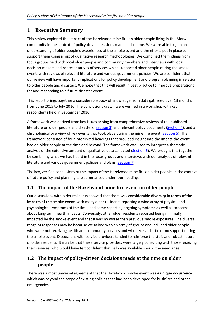# <span id="page-6-0"></span>**1 Executive Summary**

This review explored the impact of the Hazelwood mine fire on older people living in the Morwell community in the context of policy-driven decisions made at the time. We were able to gain an understanding of older people's experiences of the smoke event and the efforts put in place to support them using a mix of qualitative research methodologies. We combined the findings from focus groups held with local older people and community members and interviews with local decision-makers and representatives of services which supported older people during the smoke event, with reviews of relevant literature and various government policies. We are confident that our review will have important implications for policy development and program planning in relation to older people and disasters. We hope that this will result in best practice to improve preparations for and responding to a future disaster event.

This report brings together a considerable body of knowledge from data gathered over 13 months from June 2015 to July 2016. The conclusions drawn were verified in a workshop with key respondents held in September 2016.

A framework was derived from key issues arising from comprehensive reviews of the published literature on older people and disasters [\(Section 3\)](#page-14-0) and relevant policy documents [\(Section 4\)](#page-25-0), and a chronological overview of key events that took place during the mine fire event [\(Section 5\)](#page-32-0). The framework consisted of four interlinked headings that provided insight into the impact the event had on older people at the time and beyond. The framework was used to interpret a thematic analysis of the extensive amount of qualitative data collected [\(Section 6\)](#page-41-0). We brought this together by combining what we had heard in the focus groups and interviews with our analyses of relevant literature and various government policies and plans [\(Section 7\)](#page-64-0).

The key, verified conclusions of the impact of the Hazelwood mine fire on older people, in the context of future policy and planning, are summarised under four headings.

# <span id="page-6-1"></span>**1.1 The impact of the Hazelwood mine fire event on older people**

Our discussions with older residents showed that there was **considerable diversity in terms of the impacts of the smoke event**, with many older residents reporting a wide array of physical and psychological symptoms at the time, and some reporting ongoing symptoms as well as concerns about long-term health impacts. Conversely, other older residents reported being minimally impacted by the smoke event and that it was no worse than previous smoke exposures. The diverse range of responses may be because we talked with an array of groups and included older people who were not receiving health and community services and who received little or no support during the smoke event. Discussions with service providers tended to reinforce the stoic and robust nature of older residents. It may be that these service providers were largely consulting with those receiving their services, who would have felt confident that help was available should the need arise.

# <span id="page-6-2"></span>**1.2 The impact of policy-driven decisions made at the time on older people**

There was almost universal agreement that the Hazelwood smoke event was **a unique occurrence** which was beyond the scope of existing policies that had been developed for bushfires and other emergencies.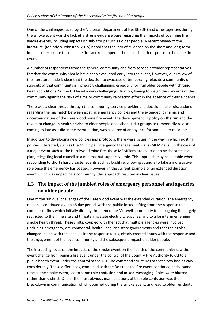One of the challenges faced by the Victorian Department of Health (DH) and other agencies during the smoke event was the **lack of a strong evidence base regarding the impacts of coalmine fire smoke events**, including impacts on sub-groups such as older people. A recent review of the literature (Melody & Johnston, 2015) noted that the lack of evidence on the short and long-term impacts of exposure to coal mine fire smoke hampered the public health response to the mine fire event.

A number of respondents from the general community and from service provider representatives felt that the community should have been evacuated early into the event, However, our review of the literature made it clear that the decision to evacuate or temporarily relocate a community or sub-sets of that community is incredibly challenging, especially for frail older people with chronic health conditions. So the DH faced a very challenging situation, having to weigh the concerns of the community against the risks of a major community relocation effort in the absence of clear evidence.

There was a clear thread through the community, service provider and decision maker discussions regarding the mismatch between existing emergency policies and the extended, dynamic and uncertain nature of the Hazelwood mine fire event. The development of **policy on the run** and the resultant **change in health advice** to older people and other at-risk groups to temporarily relocate, coming as late as it did in the event period, was a source of annoyance for some older residents.

In addition to developing new policies and protocols, there were issues in the way in which existing policies interacted, such as the Municipal Emergency Management Plans (MEMPlans). In the case of a major event such as the Hazelwood mine fire, these MEMPlans are overridden by the state level plan, relegating local council to a minimal but supportive role. This approach may be suitable when responding to short sharp disaster events such as bushfire, allowing councils to take a more active role once the emergency has passed. However, in the current example of an extended duration event which was impacting a community, this approach resulted in clear issues.

# <span id="page-7-0"></span>**1.3 The impact of the jumbled roles of emergency personnel and agencies on older people**

One of the 'unique' challenges of the Hazelwood event was the extended duration*.* The emergency response continued over a 45 day period, with the public focus shifting from the response to a complex of fires which initially directly threatened the Morwell community to an ongoing fire largely restricted to the mine site and threatening state electricity supplies, and to a long term emerging smoke health threat. These shifts, coupled with the fact that multiple agencies were involved (including emergency, environmental, health, local and state government) and that **their roles changed** in line with the changes in the response focus, clearly created issues with the response and the engagement of the local community and the subsequent impact on older people.

The increasing focus on the impacts of the smoke event on the health of the community saw the event change from being a fire event under the control of the Country Fire Authority (CFA) to a public health event under the control of the DH. The command structures of these two bodies vary considerably. These differences, combined with the fact that the fire event continued at the same time as the smoke event, led to some **role confusion and mixed messaging**. Roles were blurred rather than distinct. One of the most obvious manifestations of this role confusion was the breakdown in communication which occurred during the smoke event, and lead to older residents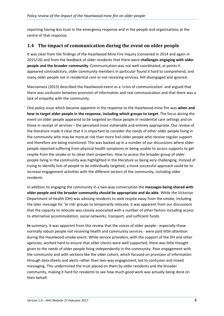reporting having less trust in the emergency response and in the people and organisations at the centre of that response.

### <span id="page-8-0"></span>**1.4 The impact of communication during the event on older people**

It was clear from the findings of the Hazelwood Mine Fire Inquiry (convened in 2014 and again in 2015/16) and from the feedback of older residents that there were **challenges engaging with older people and the broader community**. Communication was not well coordinated, at points it appeared contradictory, older community members in particular found it hard to comprehend, and many older people not in residential care or not receiving services, felt disengaged and ignored.

Macnamara (2015) described the Hazelwood event as a 'crisis of communication' and argued that there was confusion between provision of information and real communication and that there was a lack of empathy with the community.

One policy issue which became apparent in the response to the Hazelwood mine fire was **when and how to target older people in the response, including which groups to target**. The focus during the event on older people appeared to be targeted on those people in residential care settings and on those in receipt of services – the perceived most vulnerable and entirely appropriate. Our review of the literature made it clear that it is important to consider the needs of other older people living in the community who may be more at risk than more frail older people who receive regular support and therefore are being monitored. This was backed up in a number of our discussions where older people reported suffering from physical health symptoms or being unable to access supports to get respite from the smoke or to clean their properties. How to access the broader group of older people living in the community was highlighted in the literature as being very challenging. Instead of trying to identify lists of people to be individually targeted, a more successful approach could be to increase engagement activities with the different sectors of the community, including older residents

In addition to engaging the community in a two-way conversation the **messages being shared with older people and the broader community should be appropriate and do-able**. While the Victorian Department of Health (DH) was advising residents to seek respite away from the smoke, including the later message for 'at risk' groups to temporarily relocate, it was apparent from our discussions that the capacity to relocate was closely associated with a number of other factors including access to alternative accommodation, social networks, transport, and sufficient funds.

**In** summary, it was apparent from this review that the voices of older people - especially those normally robust people not receiving health and community services - were paid little attention during the Hazelwood smoke event. While service providers, with the support of the DH and other agencies, worked hard to ensure that older clients were well supported, there was little thought given to the needs of older people living independently in the community. Poor engagement with the community and with sections like the older cohort, which focused on provision of information through data sheets and alerts rather than two-way engagement, led to confusion and mixed messaging. This undermined the trust placed on them by older residents and the broader community, making it hard for residents to see how much good work was actually being done on their behalf.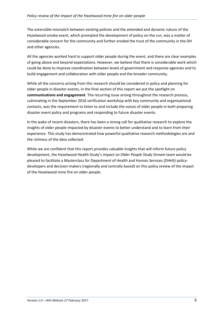The ostensible mismatch between existing policies and the extended and dynamic nature of the Hazelwood smoke event, which prompted the development of policy on the run, was a matter of considerable concern for the community and further eroded the trust of the community in the DH and other agencies.

All the agencies worked hard to support older people during the event, and there are clear examples of going above and beyond expectations. However, we believe that there is considerable work which could be done to improve coordination between levels of government and response agencies and to build engagement and collaboration with older people and the broader community.

While all the concerns arising from this research should be considered in policy and planning for older people in disaster events, in the final section of this report we put the spotlight on **communications and engagement**. The recurring issue arising throughout the research process, culminating in the September 2016 verification workshop with key community and organisational contacts, was the requirement to listen to and include the voices of older people in both preparing disaster event policy and programs and responding to future disaster events.

In the wake of recent disasters, there has been a strong call for qualitative research to explore the insights of older people impacted by disaster events to better understand and to learn from their experience. This study has demonstrated how powerful qualitative research methodologies are and the richness of the data collected.

While we are confident that this report provides valuable insights that will inform future policy development, the Hazelwood Health Study's *Impact on Older People Study Stream* team would be pleased to facilitate a Masterclass for Department of Health and Human Services (DHHS) policydevelopers and decision-makers (regionally and centrally based) on this policy review of the impact of the Hazelwood mine fire on older people.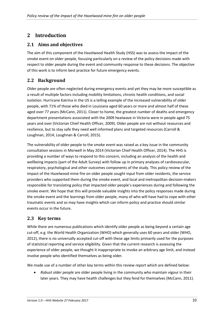# <span id="page-10-0"></span>**2 Introduction**

### <span id="page-10-1"></span>**2.1 Aims and objectives**

The aim of this component of the Hazelwood Health Study (HSS) was to assess the impact of the smoke event on older people, focusing particularly on a review of the policy decisions made with respect to older people during the event and community response to these decisions. The objective of this work is to inform best practice for future emergency events.

## <span id="page-10-2"></span>**2.2 Background**

Older people are often neglected during emergency events and yet they may be more susceptible as a result of multiple factors including mobility limitations, chronic health conditions, and social isolation. Hurricane Katrina in the US is a telling example of the increased vulnerability of older people, with 71% of those who died in Louisiana aged 60 years or more and almost half of these aged over 77 years (McCann, 2011). Closer to home, the greatest number of deaths and emergency department presentations associated with the 2009 heatwave in Victoria were in people aged 75 years and over (Victorian Chief Health Officer, 2009). Older people are not without resources and resilience, but to stay safe they need well informed plans and targeted resources (Carroll & Loughnan, 2014; Loughnan & Carroll, 2015).

The vulnerability of older people to the smoke event was raised as a key issue in the community consultation sessions in Morwell in May 2014 (Victorian Chief Health Officer, 2014). The HHS is providing a number of ways to respond to this concern, including an analysis of the health and wellbeing impacts (part of the Adult Survey) with follow up in primary analyses of cardiovascular, respiratory, psychological and other outcomes components of the study. This policy review of the impact of the Hazelwood mine fire on older people sought input from older residents, the service providers who supported them during the smoke event, and local and metropolitan decision-makers responsible for translating policy that impacted older people's experiences during and following the smoke event. We hope that this will provide valuable insights into the policy responses made during the smoke event and the learnings from older people, many of who will have had to cope with other traumatic events and so may have insights which can inform policy and practice should similar events occur in the future.

# <span id="page-10-3"></span>**2.3 Key terms**

While there are numerous publications which identify older people as being beyond a certain age cut-off, e.g. the World Health Organization (WHO) which generally uses 60 years and older (WHO, 2012), there is no universally accepted cut-off with these age limits primarily used for the purposes of statistical reporting and service eligibility. Given that the current research is assessing the experience of older people, we thought it inappropriate to invoke an arbitrary age limit, and instead involve people who identified themselves as being older.

We made use of a number of other key terms within this review report which are defined below:

• *Robust older people* are older people living in the community who maintain vigour in their later years. They may have health challenges but they fend for themselves (McCann, 2011).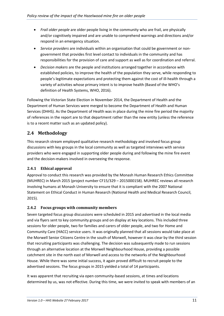- *Frail older people* are older people living in the community who are frail, are physically and/or cognitively impaired and are unable to comprehend warnings and directions and/or respond in an emergency situation.
- *Service providers* are individuals within an organisation that could be government or nongovernment that provides first level contact to individuals in the community and has responsibilities for the provision of care and support as well as for coordination and referral.
- *Decision makers* are the people and institutions arranged together in accordance with established policies, to improve the health of the population they serve, while responding to people's legitimate expectations and protecting them against the cost of ill-health through a variety of activities whose primary intent is to improve health (Based of the WHO's definition of Health Systems, WHO, 2016).

Following the Victorian State Election in November 2014, the Department of Health and the Department of Human Services were merged to become the Department of Health and Human Services (DHHS). As the Department of Health was in place during the mine fire period the majority of references in the report are to that department rather than the new entity (unless the reference is to a recent matter such as an updated policy).

# <span id="page-11-0"></span>**2.4 Methodology**

This research stream employed qualitative research methodology and involved focus group discussions with key groups in the local community as well as targeted interviews with service providers who were engaged in supporting older people during and following the mine fire event and the decision-makers involved in overseeing the response.

### <span id="page-11-1"></span>**2.4.1 Ethical approval**

Approval to conduct this research was provided by the Monash Human Research Ethics Committee (MUHREC) in March 2015 (project number CF15/329 – 2015000158). MUHREC reviews all research involving humans at Monash University to ensure that it is compliant with the 2007 National Statement on Ethical Conduct in Human Research (National Health and Medical Research Council, 2015).

#### <span id="page-11-2"></span>**2.4.2 Focus groups with community members**

Seven targeted focus group discussions were scheduled in 2015 and advertised in the local media and via flyers sent to key community groups and on display at key locations. This included three sessions for older people, two for families and carers of older people, and two for Home and Community Care (HACC) service users. It was originally planned that all sessions would take place at the Morwell Senior Citizens Centre in the south of Morwell, however it was clear by the third session that recruiting participants was challenging. The decision was subsequently made to run sessions through an alternative location at the Morwell Neighbourhood House, providing a possible catchment site in the north east of Morwell and access to the networks of the Neighbourhood House. While there was some initial success, it again proved difficult to recruit people to the advertised sessions. The focus groups in 2015 yielded a total of 14 participants.

It was apparent that recruiting via open community-based sessions, at times and locations determined by us, was not effective. During this time, we were invited to speak with members of an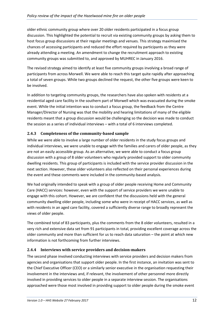older ethnic community group where over 20 older residents participated in a focus group discussion. This highlighted the potential to recruit via existing community groups by asking them to host focus group discussions at their regular meetings and venues. This strategy maximised the chances of accessing participants and reduced the effort required by participants as they were already attending a meeting. An amendment to change the recruitment approach to existing community groups was submitted to, and approved by MUHREC in January 2016.

The revised strategy aimed to identify at least five community groups involving a broad range of participants from across Morwell. We were able to reach this target quite rapidly after approaching a total of seven groups. While two groups declined the request, the other five groups were keen to be involved.

In addition to targeting community groups, the researchers have also spoken with residents at a residential aged care facility in the southern part of Morwell which was evacuated during the smoke event. While the initial intention was to conduct a focus group, the feedback from the Centre Manager/Director of Nursing was that the mobility and hearing limitations of many of the eligible residents meant that a group discussion would be challenging so the decision was made to conduct the session as a series of individual interviews – with a total of 6 interviews completed.

#### <span id="page-12-0"></span>**2.4.3 Completeness of the community-based sample**

While we were able to involve a large number of older residents in the study focus groups and individual interviews, we were unable to engage with the families and carers of older people, as they are not an easily accessible group. As an alternative, we were able to conduct a focus group discussion with a group of 8 older volunteers who regularly provided support to older community dwelling residents. This group of participants is included with the service provider discussion in the next section. However, these older volunteers also reflected on their personal experiences during the event and these comments were included in the community-based analysis.

We had originally intended to speak with a group of older people receiving Home and Community Care (HACC) services: however, even with the support of service providers we were unable to engage with this cohort. However, we are confident that the discussions held with the general community dwelling older people, including some who were in receipt of HACC services, as well as with residents in an aged care facility, covered a sufficiently diverse range to broadly represent the views of older people.

The combined total of 83 participants, plus the comments from the 8 older volunteers, resulted in a very rich and extensive data set from 91 participants in total, providing excellent coverage across the older community and more than sufficient for us to reach data saturation – the point at which new information is not forthcoming from further interviews.

#### <span id="page-12-1"></span>**2.4.4 Interviews with service providers and decision-makers**

The second phase involved conducting interviews with service providers and decision makers from agencies and organisations that support older people. In the first instance, an invitation was sent to the Chief Executive Officer (CEO) or a similarly senior executive in the organisation requesting their involvement in the interviews and, if relevant, the involvement of other personnel more directly involved in providing services to older people in a separate interview session. The organisations approached were those most involved in providing support to older people during the smoke event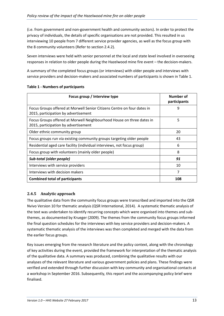(i.e. from government and non-government health and community sectors). In order to protect the privacy of individuals, the details of specific organisations are not provided. This resulted in us interviewing 10 people from 7 different service provider agencies, as well as the focus group with the 8 community volunteers (Refer to section 2.4.2).

Seven interviews were held with senior personnel at the local and state level involved in overseeing responses in relation to older people during the Hazelwood mine fire event – the decision-makers.

A summary of the completed focus groups (or interviews) with older people and interviews with service providers and decision-makers and associated numbers of participants is shown in Table 1.

| Focus group / Interview type                                                                                    | Number of<br>participants |
|-----------------------------------------------------------------------------------------------------------------|---------------------------|
| Focus Groups offered at Morwell Senior Citizens Centre on four dates in<br>2015, participation by advertisement | 9                         |
| Focus Groups offered at Morwell Neighbourhood House on three dates in<br>2015, participation by advertisement   | 5                         |
| Older ethnic community group                                                                                    | 20                        |
| Focus groups run via existing community groups targeting older people                                           | 43                        |
| Residential aged care facility (individual interviews, not focus group)                                         | 6                         |
| Focus group with volunteers (mainly older people)                                                               | 8                         |
| Sub-total (older people)                                                                                        | 91                        |
| Interviews with service providers                                                                               | 10                        |
| Interviews with decision makers                                                                                 | 7                         |
| <b>Combined total of participants</b>                                                                           | 108                       |

#### <span id="page-13-1"></span>**Table 1 - Numbers of participants**

#### <span id="page-13-0"></span>**2.4.5 Analytic approach**

The qualitative data from the community focus groups were transcribed and imported into the QSR Nvivo Version 10 for thematic analysis (QSR International, 2014). A systematic thematic analysis of the text was undertaken to identify recurring concepts which were organised into themes and subthemes, as documented by Krueger (2009). The themes from the community focus groups informed the final question schedules for the interviews with key service providers and decision-makers. A systematic thematic analysis of the interviews was then completed and merged with the data from the earlier focus groups.

Key issues emerging from the research literature and the policy context, along with the chronology of key activities during the event, provided the framework for interpretation of the thematic analysis of the qualitative data. A summary was produced, combining the qualitative results with our analyses of the relevant literature and various government policies and plans. These findings were verified and extended through further discussion with key community and organisational contacts at a workshop in September 2016. Subsequently, this report and the accompanying policy brief were finalised.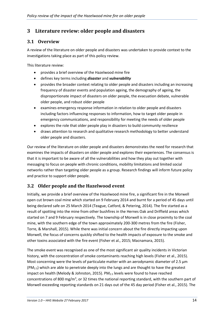# <span id="page-14-0"></span>**3 Literature review: older people and disasters**

## <span id="page-14-1"></span>**3.1 Overview**

A review of the literature on older people and disasters was undertaken to provide context to the investigations taking place as part of this policy review.

This literature review:

- provides a brief overview of the Hazelwood mine fire
- defines key terms including *disaster* and *vulnerability*
- provides the broader context relating to older people and disasters including an increasing frequency of disaster events and population ageing, the demography of ageing, the disproportionate impact of disasters on older people, the evacuation debate, vulnerable older people, and robust older people
- examines emergency response information in relation to older people and disasters including factors influencing responses to information, how to target older people in emergency communications, and responsibility for meeting the needs of older people
- explores the role that older people play in disasters to build community resilience
- draws attention to research and qualitative research methodology to better understand older people and disasters.

Our review of the literature on older people and disasters demonstrates the need for research that examines the impacts of disasters on older people and explores their experiences. The consensus is that it is important to be aware of all the vulnerabilities and how they play out together with messaging to focus on people with chronic conditions, mobility limitations and limited social networks rather than targeting older people as a group. Research findings will inform future policy and practice to support older people.

# <span id="page-14-2"></span>**3.2 Older people and the Hazelwood event**

Initially, we provide a brief overview of the Hazelwood mine fire, a significant fire in the Morwell open cut brown coal mine which started on 9 February 2014 and burnt for a period of 45 days until being declared safe on 25 March 2014 (Teague, Catford, & Petering, 2014). The fire started as a result of spotting into the mine from other bushfires in the Hernes Oak and Driffield areas which started on 7 and 9 February respectively. The township of Morwell is in close proximity to the coal mine, with the southern edge of the town approximately 200-300 metres from the fire (Fisher, Torre, & Marshall, 2015). While there was initial concern about the fire directly impacting upon Morwell, the focus of concerns quickly shifted to the health impacts of exposure to the smoke and other toxins associated with the fire event (Fisher et al., 2015; Macnamara, 2015).

The smoke event was recognised as one of the most significant air quality incidents in Victorian history, with the concentration of smoke contaminants reaching high levels (Fisher et al., 2015). Most concerning were the levels of particulate matter with an aerodynamic diameter of 2.5 μm  $(PM<sub>2.5</sub>)$  which are able to penetrate deeply into the lungs and are thought to have the greatest impact on health (Melody & Johnston, 2015). PM<sub>2.5</sub> levels were found to have reached concentrations of 800 mg/m<sup>3</sup>, or 32 times the national reporting standard, with the southern part of Morwell exceeding reporting standards on 21 days out of the 45 day period (Fisher et al., 2015). The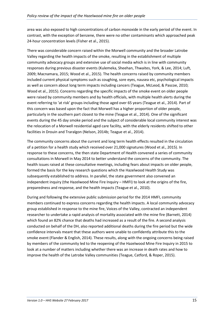area was also exposed to high concentrations of carbon monoxide in the early period of the event. In contrast, with the exception of benzene, there were no other contaminants which approached peak 24-hour concentration levels (Fisher et al., 2015).

There was considerable concern raised within the Morwell community and the broader Latrobe Valley regarding the health impacts of the smoke, resulting in the establishment of multiple community advocacy groups and extensive use of social media which is in line with community responses during previous disaster events (Kulemeka, Sheehan, Thwaites, York, & Lee, 2014; Luft, 2009; Macnamara, 2015; Wood et al., 2015). The health concerns raised by community members included current physical symptoms such as coughing, sore eyes, nausea etc, psychological impacts as well as concern about long term impacts including cancers (Teague, McLeod, & Pascoe, 2010; Wood et al., 2015). Concerns regarding the specific impacts of the smoke event on older people were raised by community members and by health officials, with multiple health alerts during the event referring to 'at risk' groups including those aged over 65 years (Teague et al., 2014). Part of this concern was based upon the fact that Morwell has a higher proportion of older people, particularly in the southern part closest to the mine (Teague et al., 2014). One of the significant events during the 45 day smoke period and the subject of considerable local community interest was the relocation of a Morwell residential aged care facility, with the elderly residents shifted to other facilities in Drouin and Traralgon (Nelson, 2014b; Teague et al., 2014).

The community concerns about the current and long term health effects resulted in the circulation of a petition for a health study which received over 21,000 signatures (Wood et al., 2015). In response to these concerns, the then state Department of Health convened a series of community consultations in Morwell in May 2014 to better understand the concerns of the community. The health issues raised at these consultative meetings, including fears about impacts on older people, formed the basis for the key research questions which the Hazelwood Health Study was subsequently established to address. In parallel, the state government also convened an independent inquiry (the Hazelwood Mine Fire Inquiry – HMFI) to look at the origins of the fire, preparedness and response, and the health impacts (Teague et al., 2010).

During and following the extensive public submission period for the 2014 HMFI, community members continued to express concerns regarding the health impacts. A local community advocacy group established in response to the mine fire, Voices of the Valley, contracted an independent researcher to undertake a rapid analysis of mortality associated with the mine fire (Barnett, 2014) which found an 82% chance that deaths had increased as a result of the fire. A second analysis conducted on behalf of the DH, also reported additional deaths during the fire period but the wide confidence intervals meant that these authors were unable to confidently attribute this to the smoke event (Flander & English, 2014). These results, along with the ongoing concerns being raised by members of the community led to the reopening of the Hazelwood Mine Fire Inquiry in 2015 to look at a number of matters including whether there was an increase in death rates and how to improve the health of the Latrobe Valley communities (Teague, Catford, & Roper, 2015).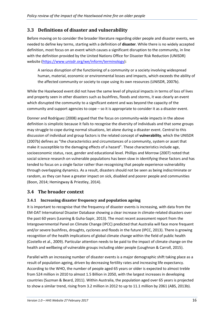## <span id="page-16-0"></span>**3.3 Definitions of disaster and vulnerability**

Before moving on to consider the broader literature regarding older people and disaster events, we needed to define key terms, starting with a definition of **disaster**. While there is no widely accepted definition, most focus on an event which causes a significant disruption to the community, in line with the definition provided by the United Nations Office for Disaster Risk Reduction (UNISDR) website [\(https://www.unisdr.org/we/inform/terminology\)](https://www.unisdr.org/we/inform/terminology):

A serious disruption of the functioning of a community or a society involving widespread human, material, economic or environmental losses and impacts, which exceeds the ability of the affected community or society to cope using its own resources (UNISDR, 2007b).

While the Hazelwood event did not have the same level of physical impacts in terms of loss of lives and property seen in other disasters such as bushfires, floods and storms, it was clearly an event which disrupted the community to a significant extent and was beyond the capacity of the community and support agencies to cope – so it is appropriate to consider it as a disaster event.

Donner and Rodríguez (2008) argued that the focus on community-wide impacts in the above definition is simplistic because it fails to recognise the diversity of individuals and that some groups may struggle to cope during normal situations, let alone during a disaster event. Central to this discussion of individual and group factors is the related concept of **vulnerability**, which the UNISDR (2007b) defines as "the characteristics and circumstances of a community, system or asset that make it susceptible to the damaging effects of a hazard". These characteristics include age, socioeconomic status, race, gender and educational level. Phillips and Morrow (2007) noted that social science research on vulnerable populations has been slow in identifying these factors and has tended to focus on a single factor rather than recognising that people experience vulnerability through overlapping dynamics. As a result, disasters should not be seen as being indiscriminate or random, as they can have a greater impact on sick, disabled and poorer people and communities (Boon, 2014; Hemingway & Priestley, 2014).

### <span id="page-16-1"></span>**3.4 The broader context**

### <span id="page-16-2"></span>**3.4.1 Increasing disaster frequency and population ageing**

It is important to recognise that the frequency of disaster events is increasing, with data from the EM-DAT International Disaster Database showing a clear increase in climate-related disasters over the past 60 years (Leaning & Guha-Sapir, 2013). The most recent assessment report from the Intergovernmental Panel on Climate Change (IPCC) predicted that Australia will face more frequent and/or severe bushfires, droughts, cyclones and floods in the future (IPCC, 2013). There is growing recognition of the health implications of global climate change within the field of public health (Costello et al., 2009). Particular attention needs to be paid to the impact of climate change on the health and wellbeing of vulnerable groups including older people (Loughnan & Carroll, 2015).

Parallel with an increasing number of disaster events is a major demographic shift taking place as a result of population ageing, driven by decreasing fertility rates and increasing life expectancy. According to the WHO, the number of people aged 65 years or older is expected to almost treble from 524 million in 2010 to almost 1.5 Billion in 2050, with the largest increases in developing countries (Suzman & Beard, 2011). Within Australia, the population aged over 65 years is projected to show a similar trend, rising from 3.2 million in 2012 to up to 11.1 million by 2061 (ABS, 2013b).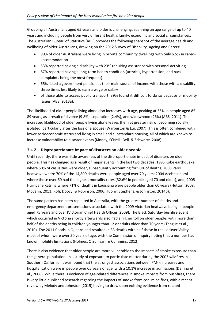Grouping all Australians aged 65 years and older is challenging, spanning an age range of up to 40 years and including people from very different health, family, economic and social circumstances. The Australian Bureau of Statistics (ABS) provides the following snapshot of the average health and wellbeing of older Australians, drawing on the 2012 Survey of Disability, Ageing and Carers:

- 90% of older Australians were living in private community dwellings with only 5.5% in caredaccommodation
- 53% reported having a disability with 23% requiring assistance with personal activities;
- 87% reported having a long-term health condition (arthritis, hypertension, and back complaints being the most frequent)
- 65% listed a government pension as their main source of income with those with a disability three times less likely to earn a wage or salary
- of those able to access public transport, 39% found it difficult to do so because of mobility issues (ABS, 2013a).

The likelihood of older people living alone also increases with age, peaking at 35% in people aged 85- 89 years, as a result of divorce (9.8%), separation (2.4%), and widowhood (26%) (ABS, 2011). The increased likelihood of older people living alone leaves them at greater risk of becoming socially isolated, particularly after the loss of a spouse (Warburton & Lui, 2007). This is often combined with lower socioeconomic status and living in small and substandard housing, all of which are known to increase vulnerability to disaster events (Kinney, O'Neill, Bell, & Schwartz, 2008).

#### <span id="page-17-0"></span>**3.4.2 Disproportionate impact of disasters on older people**

Until recently, there was little awareness of the disproportionate impact of disasters on older people. This has changed as a result of major events in the last two decades: 1995 Kobe earthquake where 50% of casualties were older, subsequently accounting for 90% of deaths; 2003 Paris heatwave where 70% of the 14,800 deaths were people aged over 70 years; 2004 Aceh tsunami where those over 60 had the highest mortality rates (32.6% in people aged 70 and older), and; 2005 Hurricane Katrina where 71% of deaths in Louisiana were people older than 60 years (Hutton, 2008; McCann, 2011; Rofi, Doocy, & Robinson, 2006; Tuohy, Stephens, & Johnston, 2014b).

The same pattern has been repeated in Australia, with the greatest number of deaths and emergency department presentations associated with the 2009 Victorian heatwave being in people aged 75 years and over (Victorian Chief Health Officer, 2009). The Black Saturday bushfire event which occurred in Victoria shortly afterwards also had a higher toll on older people, with more than half of the deaths being in children younger than 12 or adults older than 70 years (Teague et al., 2010). The 2011 floods in Queensland resulted in 33 deaths with half these in the Lockyer Valley, most of whom were over 50 years of age, with the Commission of Inquiry noting that a number had known mobility limitations (Holmes, O'Sullivan, & Cummins, 2012).

There is also evidence that older people are more vulnerable to the impacts of smoke exposure than the general population. In a study of exposure to particulate matter during the 2003 wildfires in Southern California, it was found that the strongest associations between  $PM_{2.5}$  increases and hospitalisation were in people over 65 years of age, with a 10.1% increase in admissions (Delfino et al., 2008). While there is evidence of age-related differences in smoke impacts from bushfires, there is very little published research regarding the impacts of smoke from coal mine fires, with a recent review by Melody and Johnston (2015) having to draw upon existing evidence from related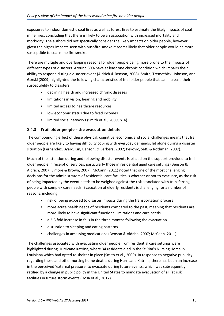exposures to indoor domestic coal fires as well as forest fires to estimate the likely impacts of coal mine fires, concluding that there is likely to be an association with increased mortality and morbidity. The authors did not specifically consider the likely impacts on older people, however, given the higher impacts seen with bushfire smoke it seems likely that older people would be more susceptible to coal mine fire smoke.

There are multiple and overlapping reasons for older people being more prone to the impacts of different types of disasters. Around 80% have at least one chronic condition which impairs their ability to respond during a disaster event (Aldrich & Benson, 2008). Smith, Tremethick, Johnson, and Gorski (2009) highlighted the following characteristics of frail older people that can increase their susceptibility to disasters:

- declining health and increased chronic diseases
- limitations in vision, hearing and mobility
- limited access to healthcare resources
- low economic status due to fixed incomes
- limited social networks (Smith et al., 2009, p. 4).

#### **3.4.3 Frail older people – the evacuation debate**

The compounding effect of these physical, cognitive, economic and social challenges means that frail older people are likely to having difficulty coping with everyday demands, let alone during a disaster situation (Fernandez, Byard, Lin, Benson, & Barbera, 2002; Pekovic, Seff, & Rothman, 2007).

Much of the attention during and following disaster events is placed on the support provided to frail older people in receipt of services, particularly those in residential aged care settings (Benson & Aldrich, 2007; Elmore & Brown, 2007). McCann (2011) noted that one of the most challenging decisions for the administrators of residential care facilities is whether or not to evacuate, as the risk of being impacted by the event needs to be weighed against the risk associated with transferring people with complex care needs. Evacuation of elderly residents is challenging for a number of reasons, including:

- risk of being exposed to disaster impacts during the transportation process
- more acute health needs of residents compared to the past, meaning that residents are more likely to have significant functional limitations and care needs
- a 2-3 fold increase in falls in the three months following the evacuation
- disruption to sleeping and eating patterns
- challenges in accessing medications (Benson & Aldrich, 2007; McCann, 2011).

The challenges associated with evacuating older people from residential care settings were highlighted during Hurricane Katrina, where 34 residents died in the St Rita's Nursing Home in Louisiana which had opted to shelter in place (Smith et al., 2009). In response to negative publicity regarding these and other nursing home deaths during Hurricane Katrina, there has been an increase in the perceived 'external pressure' to evacuate during future events, which was subsequently ratified by a change in public policy in the United States to mandate evacuation of all 'at risk' facilities in future storm events (Dosa et al., 2012).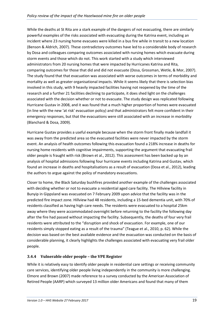While the deaths at St Rita are a stark example of the dangers of not evacuating, there are similarly powerful examples of the risks associated with evacuating during the Katrina event, including an incident where 23 nursing home evacuees were killed in a bus fire while in transit to a new location (Benson & Aldrich, 2007). These contradictory outcomes have led to a considerable body of research by Dosa and colleagues comparing outcomes associated with nursing homes which evacuate during storm events and those which do not. This work started with a study which interviewed administrators from 20 nursing homes that were impacted by Hurricanes Katrina and Rita, comparing outcomes for those that did and did not evacuate (Dosa, Grossman, Wetle, & Mor, 2007). The study found that that evacuation was associated with worse outcomes in terms of morbidity and mortality as well as greater organisational impacts. While it seems likely that there is selection bias involved in this study, with 9 heavily impacted facilities having not reopened by the time of the research and a further 21 facilities declining to participate, it does shed light on the challenges associated with the decision whether or not to evacuate. The study design was replicated following Hurricane Gustav in 2008, and it was found that a much higher proportion of homes were evacuated (in line with the new 'at risk' evacuation policy) and that administrators felt more confident in their emergency responses, but that the evacuations were still associated with an increase in morbidity (Blanchard & Dosa, 2009).

Hurricane Gustav provides a useful example because when the storm front finally made landfall it was away from the predicted area so the evacuated facilities were never impacted by the storm event. An analysis of health outcomes following this evacuation found a 218% increase in deaths for nursing home residents with cognitive impairments, supporting the argument that evacuating frail older people is fraught with risk (Brown et al., 2012). This assessment has been backed up by an analysis of hospital admissions following four hurricane events including Katrina and Gustav, which found an increase in deaths and hospitalisations as a result of evacuation (Dosa et al., 2012), leading the authors to argue against the policy of mandatory evacuations.

Closer to home, the Black Saturday bushfires provided another example of the challenges associated with deciding whether or not to evacuate a residential aged care facility. The Hillview facility in Bunyip in Gippsland was evacuated on 7 February 2009 upon advice that the facility was in the predicted fire impact zone. Hillview had 48 residents, including a 15-bed dementia unit, with 70% of residents classified as having high care needs. The residents were evacuated to a hospital 25km away where they were accommodated overnight before returning to the facility the following day after the fire had passed without impacting the facility. Subsequently, the deaths of four very frail residents were attributed to the "disruption and shock of evacuation. For example, one of our residents simply stopped eating as a result of the trauma" (Teague et al., 2010, p. 62). While the decision was based on the best available evidence and the evacuation was conducted on the basis of considerable planning, it clearly highlights the challenges associated with evacuating very frail older people.

### **3.4.4 Vulnerable older people – the VPE Register**

While it is relatively easy to identify older people in residential care settings or receiving community care services, identifying older people living independently in the community is more challenging. Elmore and Brown (2007) made reference to a survey conducted by the American Association of Retired People (AARP) which surveyed 13 million older Americans and found that many of them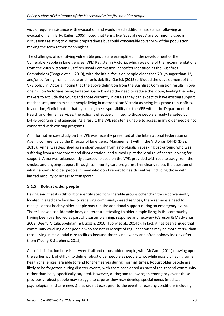would require assistance with evacuation and would need additional assistance following an evacuation. Similarly, Kailes (2005) noted that terms like 'special needs' are commonly used in discussions relating to disaster preparedness but could conceivably cover 50% of the population, making the term rather meaningless.

The challenges of identifying vulnerable people are exemplified in the development of the Vulnerable People in Emergencies (VPE) Register in Victoria, which was one of the recommendations from the 2009 Victorian Bushfires Royal Commission (hereafter identified as the Bushfires Commission) (Teague et al., 2010), with the initial focus on people older than 70, younger than 12, and/or suffering from an acute or chronic debility. Garlick (2015) critiqued the development of the VPE policy in Victoria, noting that the above definition from the Bushfires Commission results in over one million Victorians being targeted. Garlick noted the need to reduce the scope, leading the policy makers to exclude the young and those currently in care as they can expect to have existing support mechanisms, and to exclude people living in metropolitan Victoria as being less prone to bushfires. In addition, Garlick noted that by placing the responsibility for the VPE within the Department of Health and Human Services, the policy is effectively limited to those people already targeted by DHHS programs and agencies. As a result, the VPE register is unable to access many older people not connected with existing programs.

An informative case study on the VPE was recently presented at the International Federation on Ageing conference by the Director of Emergency Management within the Victorian DHHS (Diaz, 2016). 'Anna' was described as an older person from a non-English speaking background who was suffering from a sore throat and disorientation, and turned up at the local relief centre looking for support. Anna was subsequently assessed, placed on the VPE, provided with respite away from the smoke, and ongoing support through community care programs. This clearly raises the question of what happens to older people in need who don't report to health centres, including those with limited mobility or access to transport?

### **3.4.5 Robust older people**

Having said that it is difficult to identify specific vulnerable groups other than those conveniently located in aged care facilities or receiving community-based services, there remains a need to recognise that healthy older people may require additional support during an emergency event. There is now a considerable body of literature attesting to older people living in the community having been overlooked as part of disaster planning, response and recovery (Caruson & MacManus, 2008; Deeny, Vitale, Spelman, & Duggan, 2010; Tuohy et al., 2014b). In fact, it has been argued that community dwelling older people who are not in receipt of regular services may be more at risk than those living in residential care facilities because there is no agency and often nobody looking after them (Tuohy & Stephens, 2011).

A useful distinction here is between frail and robust older people, with McCann (2011) drawing upon the earlier work of Gillick, to define robust older people as people who, while possibly having some health challenges, are able to fend for themselves during 'normal' times. Robust older people are likely to be forgotten during disaster events, with them considered as part of the general community rather than being specifically targeted. However, during and following an emergency event these previously robust people may struggle to cope as they may develop special needs (medical, psychological and care needs) that did not exist prior to the event, or existing conditions including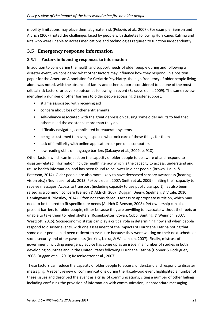mobility limitations may place them at greater risk (Pekovic et al., 2007). For example, Benson and Aldrich (2007) noted the challenges faced by people with diabetes following Hurricanes Katrina and Rita who were unable to access medications and technologies required to function independently.

### <span id="page-21-0"></span>**3.5 Emergency response information**

#### **3.5.1 Factors influencing responses to information**

In addition to considering the health and support needs of older people during and following a disaster event, we considered what other factors may influence how they respond. In a position paper for the American Association for Geriatric Psychiatry, the high frequency of older people living alone was noted, with the absence of family and other supports considered to be one of the most critical risk factors for adverse outcomes following an event (Sakauye et al., 2009). The same review identified a number of other barriers to older people accessing disaster support:

- stigma associated with receiving aid
- concern about loss of other entitlements
- self-reliance associated with the great depression causing some older adults to feel that others need the assistance more than they do
- difficulty navigating complicated bureaucratic systems
- being accustomed to having a spouse who took care of these things for them
- lack of familiarity with online applications or personal computers
- low reading skills or language barriers (Sakauye et al., 2009, p. 918).

Other factors which can impact on the capacity of older people to be aware of and respond to disaster-related information include health literacy which is the capacity to access, understand and utilise health information, and has been found to be lower in older people (Brown, Haun, & Peterson, 2014). Older people are also more likely to have decreased sensory awareness (hearing, vision etc.) (Neuhauser et al., 2013; Pekovic et al., 2007; Smith et al., 2009) limiting their capacity to receive messages. Access to transport (including capacity to use public transport) has also been raised as a common concern (Benson & Aldrich, 2007; Duggan, Deeny, Spelman, & Vitale, 2010; Hemingway & Priestley, 2014). Often not considered is access to appropriate nutrition, which may need to be tailored to fit specific care needs (Aldrich & Benson, 2008). Pet ownership can also present barriers for older people, either because they are unwilling to evacuate without their pets or unable to take them to relief shelters (Rosenkoetter, Covan, Cobb, Bunting, & Weinrich, 2007; Westcott, 2015). Socioeconomic status can play a critical role in determining how and when people respond to disaster events, with one assessment of the impacts of Hurricane Katrina noting that some older people had been reticent to evacuate because they were waiting on their next scheduled social security and other payments (Jenkins, Laska, & Williamson, 2007). Finally, mistrust of government including emergency advice has come up as an issue in a number of studies in both developing countries and in the United States following Hurricane Katrina (Donner & Rodríguez, 2008; Duggan et al., 2010; Rosenkoetter et al., 2007).

These factors can reduce the capacity of older people to access, understand and respond to disaster messaging. A recent review of communications during the Hazelwood event highlighted a number of these issues and described the event as a crisis of communications, citing a number of other failings including confusing the provision of information with communication, inappropriate messaging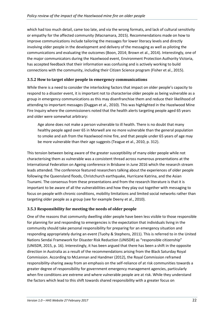which had too much detail, came too late, and via the wrong formats, and lack of cultural sensitivity or empathy for the affected community (Macnamara, 2015). Recommendations made on how to improve communications include tailoring the messages for lower literacy levels and directly involving older people in the development and delivery of the messaging as well as piloting the communications and evaluating the outcomes (Boon, 2014; Brown et al., 2014). Interestingly, one of the major communicators during the Hazelwood event, Environment Protection Authority Victoria, has accepted feedback that their information was confusing and is actively working to build connections with the community, including their Citizen Science program (Fisher et al., 2015).

#### **3.5.2 How to target older people in emergency communications**

While there is a need to consider the interlocking factors that impact on older people's capacity to respond to a disaster event, it is important not to characterise older people as being vulnerable as a group in emergency communications as this may disenfranchise them and reduce their likelihood of attending to important messages (Duggan et al., 2010). This was highlighted in the Hazelwood Mine Fire Inquiry where the commissioners noted that the health alerts targeting people aged 65 years and older were somewhat arbitrary:

Age alone does not make a person vulnerable to ill health. There is no doubt that many healthy people aged over 65 in Morwell are no more vulnerable than the general population to smoke and ash from the Hazelwood mine fire, and that people under 65 years of age may be more vulnerable than their age suggests (Teague et al., 2010, p. 312).

This tension between being aware of the greater susceptibility of many older people while not characterising them as vulnerable was a consistent thread across numerous presentations at the International Federation on Ageing conference in Brisbane in June 2016 which the research stream leads attended. The conference featured researchers talking about the experiences of older people following the Queensland floods, Christchurch earthquake, Hurricane Katrina, and the Asian Tsunami. The consensus from these presentations and from the research literature is that it is important to be aware of all the vulnerabilities and how they play out together with messaging to focus on people with chronic conditions, mobility limitations and limited social networks rather than targeting older people as a group (see for example Deeny et al., 2010).

### **3.5.3 Responsibility for meeting the needs of older people**

One of the reasons that community dwelling older people have been less visible to those responsible for planning for and responding to emergencies is the expectation that individuals living in the community should take personal responsibility for preparing for an emergency situation and responding appropriately during an event (Tuohy & Stephens, 2011). This is referred to in the United Nations Sendai Framework for Disaster Risk Reduction (UNISDR) as "responsible citizenship" (UNISDR, 2015, p. 16). Interestingly, it has been argued that there has been a shift in the opposite direction in Australia as a result of the recommendations arising from the Black Saturday Royal Commission. According to McLennan and Handmer (2012), the Royal Commission reframed responsibility-sharing away from an emphasis on the self-reliance of at risk communities towards a greater degree of responsibility for government emergency management agencies, particularly when fire conditions are extreme and where vulnerable people are at risk. While they understand the factors which lead to this shift towards shared responsibility with a greater focus on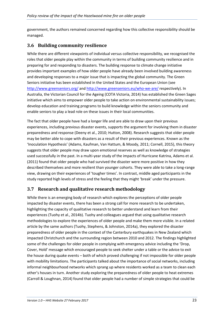government, the authors remained concerned regarding how this collective responsibility should be managed.

### <span id="page-23-0"></span>**3.6 Building community resilience**

While there are different viewpoints of individual versus collective responsibility, we recognised the roles that older people play within the community in terms of building community resilience and in preparing for and responding to disasters. The building response to climate change initiative provides important examples of how older people have already been involved building awareness and developing responses to a major issue that is impacting the global community. The Green Seniors initiative has been established in the United States and the European Union (see <http://www.greenseniors.org/> and<http://www.greenseniors.eu/who-we-are/> respectively). In Australia, the Victorian Council for the Ageing (COTA Victoria, 2014) has established the Green Sages initiative which aims to empower older people to take action on environmental sustainability issues; develop education and training programs to build knowledge within the seniors community and enable seniors to play a lead role on these issues in their local communities.

The fact that older people have had a longer life and are able to draw upon their previous experiences, including previous disaster events, supports the argument for involving them in disaster preparedness and response (Deeny et al., 2010; Hutton, 2008). Research suggests that older people may be better able to cope with disasters as a result of their previous experiences. Known as the 'Inoculation Hypothesis' (Adams, Kaufman, Van Hattum, & Moody, 2011; Cornell, 2015), this theory suggests that older people may draw upon emotional reserves as well as knowledge of strategies used successfully in the past. In a multi-year study of the impacts of Hurricane Katrina, Adams et al. (2011) found that older people who had survived the disaster were more positive in how they described themselves and more resilient than younger cohorts. They were able to take a long-range view, drawing on their experiences of 'tougher times'. In contrast, middle aged participants in the study reported high levels of stress and the feeling that they might 'break' under the pressure.

### <span id="page-23-1"></span>**3.7 Research and qualitative research methodology**

While there is an emerging body of research which explores the perceptions of older people impacted by disaster events, there has been a strong call for more research to be undertaken, highlighting the capacity of qualitative research to better understand and learn from their experiences (Tuohy et al., 2014b). Tuohy and colleagues argued that using qualitative research methodologies to explore the experiences of older people and make them more visible. In a related article by the same authors (Tuohy, Stephens, & Johnston, 2014a), they explored the disaster preparedness of older people in the context of the Canterbury earthquakes in New Zealand which impacted Christchurch and the surrounding region between 2010 and 2012. The findings highlighted some of the challenges for older people in complying with emergency advice including the 'Drop, Cover, Hold' message which encouraged people to seek shelter under a table or the advice to exit the house during quake events – both of which proved challenging if not impossible for older people with mobility limitations. The participants talked about the importance of social networks, including informal neighbourhood networks which sprang up where residents worked as a team to clean each other's houses in turn. Another study exploring the preparedness of older people to heat extremes (Carroll & Loughnan, 2014) found that older people had a number of simple strategies that could be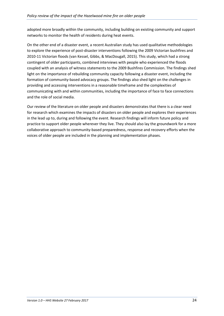adopted more broadly within the community, including building on existing community and support networks to monitor the health of residents during heat events.

On the other end of a disaster event, a recent Australian study has used qualitative methodologies to explore the experience of post-disaster interventions following the 2009 Victorian bushfires and 2010-11 Victorian floods (van Kessel, Gibbs, & MacDougall, 2015). This study, which had a strong contingent of older participants, combined interviews with people who experienced the floods coupled with an analysis of witness statements to the 2009 Bushfires Commission. The findings shed light on the importance of rebuilding community capacity following a disaster event, including the formation of community-based advocacy groups. The findings also shed light on the challenges in providing and accessing interventions in a reasonable timeframe and the complexities of communicating with and within communities, including the importance of face to face connections and the role of social media.

Our review of the literature on older people and disasters demonstrates that there is a clear need for research which examines the impacts of disasters on older people and explores their experiences in the lead up to, during and following the event. Research findings will inform future policy and practice to support older people wherever they live. They should also lay the groundwork for a more collaborative approach to community-based preparedness, response and recovery efforts when the voices of older people are included in the planning and implementation phases.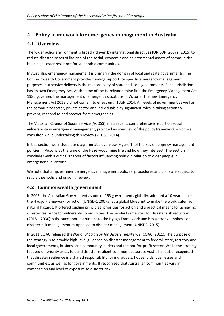# <span id="page-25-0"></span>**4 Policy framework for emergency management in Australia**

### <span id="page-25-1"></span>**4.1 Overview**

The wider policy environment is broadly driven by international directives (UNISDR, 2007a, 2015) to reduce disaster losses of life and of the social, economic and environmental assets of communities – building disaster resilience for vulnerable communities.

In Australia, emergency management is primarily the domain of local and state governments. The Commonwealth Government provides funding support for specific emergency management purposes, but service delivery is the responsibility of state and local governments. Each jurisdiction has its own Emergency Act. At the time of the Hazelwood mine fire, the Emergency Management Act 1986 governed the management of emergency situations in Victoria. The new Emergency Management Act 2013 did not come into effect until 1 July 2014. All levels of government as well as the community sector, private sector and individuals play significant roles in taking action to prevent, respond to and recover from emergencies.

The Victorian Council of Social Service (VCOSS), in its recent, comprehensive report on social vulnerability in emergency management, provided an overview of the policy framework which we consulted while undertaking this review (VCOSS, 2014).

In this section we include our diagrammatic overview (Figure 1) of the key emergency management policies in Victoria at the time of the Hazelwood mine fire and how they intersect. The section concludes with a critical analysis of factors influencing policy in relation to older people in emergencies in Victoria.

We note that all government emergency management policies, procedures and plans are subject to regular, periodic and ongoing review.

### <span id="page-25-2"></span>**4.2 Commonwealth government**

In 2005, the Australian Government as one of 168 governments globally, adopted a 10 year plan – the Hyogo Framework for action (UNISDR, 2007a) as a global blueprint to make the world safer from natural hazards. It offered guiding principles, priorities for action and a practical means for achieving disaster resilience for vulnerable communities. The Sendai Framework for disaster risk reduction (2015 – 2030) is the successor instrument to the Hyogo Framework and has a strong emphasis on disaster risk management as opposed to disaster management (UNISDR, 2015).

In 2011 COAG released the *National Strategy for Disaster Resilience* (COAG, 2011). The purpose of the strategy is to provide high-level guidance on disaster management to federal, state, territory and local governments, business and community leaders and the not-for-profit sector. While the strategy focused on priority areas to build disaster resilient communities across Australia, it also recognised that disaster resilience is a shared responsibility for individuals, households, businesses and communities, as well as for governments. It recognised that Australian communities vary in composition and level of exposure to disaster risk.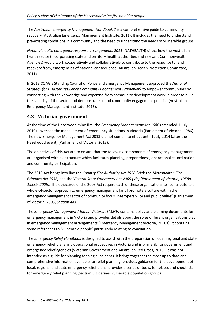The *Australian Emergency Management Handbook 2* is a comprehensive guide to community recovery (Australian Emergency Management Institute, 2011). It includes the need to understand pre-existing conditions in a community and the need to understand the needs of vulnerable groups.

*National health emergency response arrangements 2011* (NATHEALTH) direct how the Australian health sector (incorporating state and territory health authorities and relevant Commonwealth Agencies) would work cooperatively and collaboratively to contribute to the response to, and recovery from, emergencies of national consequence (Australian Health Protection Committee, 2011).

In 2013 COAG's Standing Council of Police and Emergency Management approved the *National Strategy for Disaster Resilience Community Engagement Framework* to empower communities by connecting with the knowledge and expertise from community development work in order to build the capacity of the sector and demonstrate sound community engagement practice (Australian Emergency Management Institute, 2013).

### <span id="page-26-0"></span>**4.3 Victorian government**

At the time of the Hazelwood mine fire, the *Emergency Management Act 1986* (amended 1 July 2010) governed the management of emergency situations in Victoria (Parliament of Victoria, 1986). The new Emergency Management Act 2013 did not come into effect until 1 July 2014 (after the Hazelwood event) (Parliament of Victoria, 2013).

The objectives of this Act are to ensure that the following components of emergency management are organised within a structure which facilitates planning, preparedness, operational co-ordination and community participation.

The 2013 Act brings into line the *Country Fire Authority Act 1958 (Vic);* the *Metropolitan Fire Brigades Act 1958,* and the *Victoria State Emergency Act 2005 (Vic) (Parliament of Victoria, 1958a, 1958b, 2005)*. The objectives of the 2005 Act require each of these organisations to "contribute to a whole-of-sector approach to emergency management [and] promote a culture within the emergency management sector of community focus, interoperability and public value" (Parliament of Victoria, 2005, Section 4A).

The *Emergency Management Manual Victoria (EMMV)* contains policy and planning documents for emergency management in Victoria and provides details about the roles different organisations play in emergency management arrangements (Emergency Management Victoria, 2016a). It contains some references to 'vulnerable people' particularly relating to evacuation.

The *Emergency Relief Handbook* is designed to assist with the preparation of local, regional and state emergency relief plans and operational procedures in Victoria and is primarily for government and emergency relief agencies (Victorian Government and Australian Red Cross, 2013). It was not intended as a guide for planning for single incidents. It brings together the most up to date and comprehensive information available for relief planning, provides guidance for the development of local, regional and state emergency relief plans, provides a series of tools, templates and checklists for emergency relief planning (Section 3.3 defines vulnerable population groups).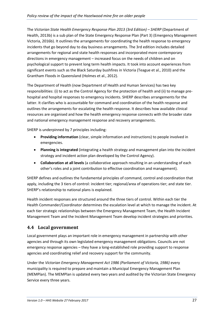The *Victorian State Health Emergency Response Plan 2013 (3rd Edition) – SHERP* (Department of Health, 2013b) is a sub plan of the State Emergency Response Plan (Part 3) (Emergency Management Victoria, 2016b). It outlines the arrangements for coordinating the health response to emergency incidents that go beyond day to day business arrangements. The 3rd edition includes detailed arrangements for regional and state health responses and incorporated more contemporary directions in emergency management – increased focus on the needs of children and on psychological support to prevent long term health impacts. It took into account experiences from significant events such as the Black Saturday bushfires in Victoria (Teague et al., 2010) and the Grantham Floods in Queensland (Holmes et al., 2012).

The Department of Health (now Department of Health and Human Services) has two key responsibilities: (i) to act as the Control Agency for the protection of health and (ii) to manage prehospital and hospital responses to emergency incidents. SHERP describes arrangements for the latter. It clarifies who is accountable for command and coordination of the health response and outlines the arrangements for escalating the health response. It describes how available clinical resources are organised and how the health emergency response connects with the broader state and national emergency management response and recovery arrangements.

SHERP is underpinned by 7 principles including:

- **Providing information** (clear, simple information and instructions) to people involved in emergencies.
- **Planning is integrated** (integrating a health strategy and management plan into the incident strategy and incident action plan developed by the Control Agency).
- **Collaboration at all levels** (a collaborative approach resulting in an understanding of each other's roles and a joint contribution to effective coordination and management).

SHERP defines and outlines the fundamental principles of command, control and coordination that apply, including the 3 tiers of control: incident tier; regional/area of operations tier; and state tier. SHERP's relationship to national plans is explained.

Health incident responses are structured around the three tiers of control. Within each tier the Health Commander/Coordinator determines the escalation level at which to manage the incident. At each tier strategic relationships between the Emergency Management Team, the Health Incident Management Team and the Incident Management Team develop incident strategies and priorities.

# <span id="page-27-0"></span>**4.4 Local government**

Local government plays an important role in emergency management in partnership with other agencies and through its own legislated emergency management obligations. Councils are not emergency response agencies – they have a long-established role providing support to response agencies and coordinating relief and recovery support for the community.

Under the *Victorian Emergency Management Act 1986 (Parliament of Victoria, 1986)* every municipality is required to prepare and maintain a Municipal Emergency Management Plan (MEMPlan). The MEMPlan is updated every two years and audited by the Victorian State Emergency Service every three years.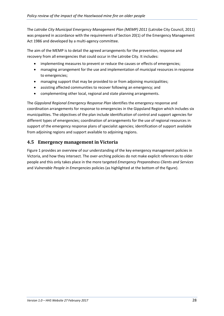The *Latrobe City Municipal Emergency Management Plan (MEMP) 2011* (Latrobe City Council, 2011) was prepared in accordance with the requirements of Section 20(1) of the Emergency Management Act 1986 and developed by a multi-agency committee.

The aim of the MEMP is to detail the agreed arrangements for the prevention, response and recovery from all emergencies that could occur in the Latrobe City. It includes:

- implementing measures to prevent or reduce the causes or effects of emergencies;
- managing arrangement for the use and implementation of municipal resources in response to emergencies;
- managing support that may be provided to or from adjoining municipalities;
- assisting affected communities to recover following an emergency; and
- complementing other local, regional and state planning arrangements.

The *Gippsland Regional Emergency Response Plan* identifies the emergency response and coordination arrangements for response to emergencies in the Gippsland Region which includes six municipalities. The objectives of the plan include identification of control and support agencies for different types of emergencies; coordination of arrangements for the use of regional resources in support of the emergency response plans of specialist agencies; identification of support available from adjoining regions and support available to adjoining regions.

### <span id="page-28-0"></span>**4.5 Emergency management in Victoria**

Figure 1 provides an overview of our understanding of the key emergency management policies in Victoria, and how they intersect. The over-arching policies do not make explicit references to older people and this only takes place in the more targeted *Emergency Preparedness Clients and Services* and *Vulnerable People in Emergencies* policies (as highlighted at the bottom of the figure).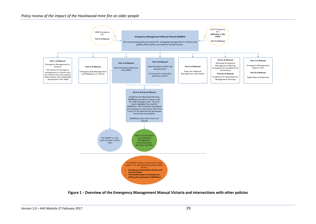#### *Policy review of the impact of the Hazelwood mine fire on older people*



<span id="page-29-0"></span>**Figure 1 - Overview of the Emergency Management Manual Victoria and intersections with other policies**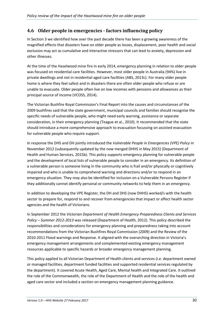# <span id="page-30-0"></span>**4.6 Older people in emergencies - factors influencing policy**

In Section 3 we identified how over the past decade there has been a growing awareness of the magnified effects that disasters have on older people as losses, displacement, poor health and social exclusion may act as cumulative and interactive stressors that can lead to anxiety, depression and other illnesses.

At the time of the Hazelwood mine fire in early 2014, emergency planning in relation to older people was focused on residential care facilities. However, most older people in Australia (94%) live in private dwellings and not in residential aged care facilities (ABS, 2013c). For many older people home is where they feel safest and in disasters there are often older people who refuse or are unable to evacuate. Older people often live on low incomes with pensions and allowances as their principal source of income (VCOSS, 2014).

The Victorian Bushfire Royal Commission's Final Report into the causes and circumstances of the 2009 bushfires said that the state government, municipal councils and families should recognise the specific needs of vulnerable people, who might need early warning, assistance or separate consideration, in their emergency planning (Teague et al., 2010). It recommended that the state should introduce a more comprehensive approach to evacuation focussing on assisted evacuation for vulnerable people who require support.

In response the DHS and DH jointly introduced the *Vulnerable People in Emergencies (VPE) Policy* in November 2012 (subsequently updated by the now merged DHHS in May 2015) (Department of Health and Human Services, 2015b). This policy supports emergency planning for vulnerable people and the development of local lists of vulnerable people to consider in an emergency. Its definition of a vulnerable person is someone living in the community who is frail and/or physically or cognitively impaired and who is unable to comprehend warning and directions and/or to respond in an emergency situation. They may also be identified for inclusion on a Vulnerable Persons Register if they additionally cannot identify personal or community networks to help them in an emergency.

In addition to developing the VPE Register, the DH and DHS (now DHHS) worked/s with the health sector to prepare for, respond to and recover from emergencies that impact or affect health sector agencies and the health of Victorians.

In September 2012 the *Victorian Department of Health Emergency Preparedness Clients and Services Policy – Summer 2012-2013* was released (Department of Health, 2012). This policy described the responsibilities and considerations for emergency planning and preparedness taking into account recommendations from the Victorian Bushfires Royal Commission (2009) and the Review of the 2010-2011 Flood warnings and Response. It aligned with the overarching direction in Victoria's emergency management arrangements and complemented existing emergency management resources applicable to specific hazards or broader emergency management planning.

This policy applied to all Victorian Department of Health clients and services (i.e. department owned or managed facilities, department funded facilities and supported residential services regulated by the department). It covered Acute Health, Aged Care, Mental health and Integrated Care. It outlined the role of the Commonwealth, the role of the Department of Health and the role of the health and aged care sector and included a section on emergency management planning guidance.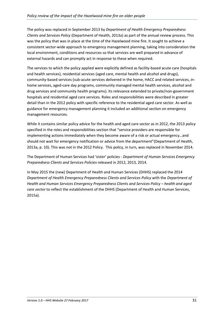The policy was replaced in September 2013 by *Department of Health Emergency Preparedness Clients and Services Policy* (Department of Health, 2013a) as part of the annual review process. This was the policy that was in place at the time of the Hazelwood mine fire. It sought to achieve a consistent sector-wide approach to emergency management planning, taking into consideration the local environment, conditions and resources so that services are well prepared in advance of external hazards and can promptly act in response to these when required.

The services to which the policy applied were explicitly defined as facility-based acute care (hospitals and health services), residential services (aged care, mental health and alcohol and drugs), community-based services (sub-acute services delivered in the home, HACC and related services, inhome services, aged-care day programs, community managed mental health services, alcohol and drug services and community health programs). Its relevance extended to private/non-government hospitals and residential aged care services. Roles and responsibilities were described in greater detail than in the 2012 policy with specific reference to the residential aged care sector. As well as guidance for emergency management planning it included an additional section on emergency management resources.

While it contains similar policy advice for the health and aged care sector as in 2012, the 2013 policy specified in the roles and responsibilities section that "service providers are responsible for implementing actions immediately when they become aware of a risk or actual emergency…and should not wait for emergency notification or advice from the department"(Department of Health, 2013a, p. 10). This was not in the 2012 Policy. This policy, in turn, was replaced in November 2014.

The Department of Human Services had 'sister' policies - *Department of Human Services Emergency Preparedness Clients and Services Policies* released in 2012, 2013, 2014.

In May 2015 the (new) Department of Health and Human Services (DHHS) replaced the 2014 *Department of Health Emergency Preparedness Clients and Services Policy* with the *Department of Health and Human Services Emergency Preparedness Clients and Services Policy – health and aged care sector* to reflect the establishment of the DHHS (Department of Health and Human Services, 2015a).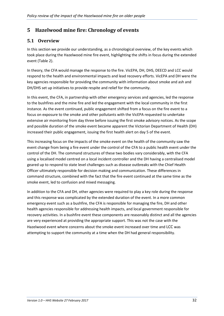# <span id="page-32-0"></span>**5 Hazelwood mine fire: Chronology of events**

## <span id="page-32-1"></span>**5.1 Overview**

In this section we provide our understanding, as a chronological overview, of the key events which took place during the Hazelwood mine fire event, highlighting the shifts in focus during the extended event (Table 2).

In theory, the CFA would manage the response to the fire. VicEPA, DH, DHS, DEECD and LCC would respond to the health and environmental impacts and lead recovery efforts. VicEPA and DH were the key agencies responsible for providing the community with information about smoke and ash and DH/DHS set up initiatives to provide respite and relief for the community.

In this event, the CFA, in partnership with other emergency services and agencies, led the response to the bushfires and the mine fire and led the engagement with the local community in the first instance. As the event continued, public engagement shifted from a focus on the fire event to a focus on exposure to the smoke and other pollutants with the VicEPA requested to undertake extensive air monitoring from day three before issuing the first smoke advisory notices. As the scope and possible duration of the smoke event became apparent the Victorian Department of Health (DH) increased their public engagement, issuing the first health alert on day 5 of the event.

This increasing focus on the impacts of the smoke event on the health of the community saw the event change from being a fire event under the control of the CFA to a public health event under the control of the DH. The command structures of these two bodies vary considerably, with the CFA using a localised model centred on a local incident controller and the DH having a centralised model geared up to respond to state level challenges such as disease outbreaks with the Chief Health Officer ultimately responsible for decision making and communication. These differences in command structure, combined with the fact that the fire event continued at the same time as the smoke event, led to confusion and mixed messaging.

In addition to the CFA and DH, other agencies were required to play a key role during the response and this response was complicated by the extended duration of the event. In a more common emergency event such as a bushfire, the CFA is responsible for managing the fire, DH and other health agencies responsible for addressing health impacts, and local government responsible for recovery activities. In a bushfire event these components are reasonably distinct and all the agencies are very experienced at providing the appropriate support. This was not the case with the Hazelwood event where concerns about the smoke event increased over time and LCC was attempting to support the community at a time when the DH had general responsibility.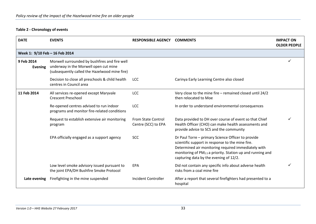#### **Table 2 - Chronology of events**

<span id="page-33-0"></span>

| <b>DATE</b>                    | <b>EVENTS</b>                                                                                                                           | <b>RESPONSIBLE AGENCY</b>                 | <b>COMMENTS</b>                                                                                                                                                                                                                                                                   | <b>IMPACT ON</b><br><b>OLDER PEOPLE</b> |
|--------------------------------|-----------------------------------------------------------------------------------------------------------------------------------------|-------------------------------------------|-----------------------------------------------------------------------------------------------------------------------------------------------------------------------------------------------------------------------------------------------------------------------------------|-----------------------------------------|
| Week 1: 9/10 Feb - 16 Feb 2014 |                                                                                                                                         |                                           |                                                                                                                                                                                                                                                                                   |                                         |
| 9 Feb 2014<br><b>Evening</b>   | Morwell surrounded by bushfires and fire well<br>underway in the Morwell open cut mine<br>(subsequently called the Hazelwood mine fire) |                                           |                                                                                                                                                                                                                                                                                   | ✓                                       |
|                                | Decision to close all preschools & child health<br>centres in Council area                                                              | <b>LCC</b>                                | Carinya Early Learning Centre also closed                                                                                                                                                                                                                                         |                                         |
| 11 Feb 2014                    | All services re-opened except Maryvale<br><b>Crescent Preschool</b>                                                                     | <b>LCC</b>                                | Very close to the mine fire $-$ remained closed until 24/2<br>then relocated to Moe                                                                                                                                                                                               |                                         |
|                                | Re-opened centres advised to run indoor<br>programs and monitor fire-related conditions                                                 | LCC                                       | In order to understand environmental consequences                                                                                                                                                                                                                                 |                                         |
|                                | Request to establish extensive air monitoring<br>program                                                                                | From State Control<br>Centre (SCC) to EPA | Data provided to DH over course of event so that Chief<br>Health Officer (CHO) can make health assessments and<br>provide advice to SCS and the community                                                                                                                         |                                         |
|                                | EPA officially engaged as a support agency                                                                                              | <b>SCC</b>                                | Dr Paul Torre - primary Science Officer to provide<br>scientific support in response to the mine fire.<br>Determined air monitoring required immediately with<br>monitoring of PM <sub>2.5</sub> a priority. Station up and running and<br>capturing data by the evening of 12/2. |                                         |
|                                | Low level smoke advisory issued pursuant to<br>the joint EPA/DH Bushfire Smoke Protocol                                                 | <b>EPA</b>                                | Did not contain any specific info about adverse health<br>risks from a coal mine fire                                                                                                                                                                                             |                                         |
| Late evening                   | Firefighting in the mine suspended                                                                                                      | Incident Controller                       | After a report that several firefighters had presented to a<br>hospital                                                                                                                                                                                                           |                                         |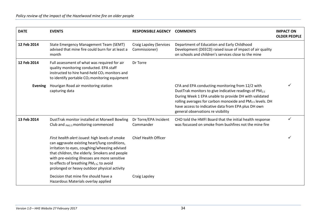| <b>DATE</b>    | <b>EVENTS</b>                                                                                                                                                                                                                                                                                                                                                 | <b>RESPONSIBLE AGENCY</b>                       | <b>COMMENTS</b>                                                                                                                                                                                                                                                                                                                           | <b>IMPACT ON</b><br><b>OLDER PEOPLE</b> |
|----------------|---------------------------------------------------------------------------------------------------------------------------------------------------------------------------------------------------------------------------------------------------------------------------------------------------------------------------------------------------------------|-------------------------------------------------|-------------------------------------------------------------------------------------------------------------------------------------------------------------------------------------------------------------------------------------------------------------------------------------------------------------------------------------------|-----------------------------------------|
| 12 Feb 2014    | State Emergency Management Team (SEMT)<br>advised that mine fire could burn for at least a<br>month                                                                                                                                                                                                                                                           | <b>Craig Lapsley (Services</b><br>Commissioner) | Department of Education and Early Childhood<br>Development (DEECD) raised issue of impact of air quality<br>on schools and children's services close to the mine                                                                                                                                                                          |                                         |
| 12 Feb 2014    | Full assessment of what was required for air<br>quality monitoring conducted. EPA staff<br>instructed to hire hand-held CO <sub>2</sub> monitors and<br>to identify portable CO <sub>2</sub> monitoring equipment                                                                                                                                             | Dr Torre                                        |                                                                                                                                                                                                                                                                                                                                           |                                         |
| <b>Evening</b> | Hourigan Road air monitoring station<br>capturing data                                                                                                                                                                                                                                                                                                        |                                                 | CFA and EPA conducting monitoring from 12/2 with<br>DustTrak monitors to give indicative readings of PM <sub>2.5</sub><br>During Week 1 EPA unable to provide DH with validated<br>rolling averages for carbon monoxide and PM2.5 levels. DH<br>have access to indicative data from EPA plus DH own<br>general observations re visibility |                                         |
| 13 Feb 2014    | DustTrak monitor installed at Morwell Bowling<br>Club and <sub>PM2.5</sub> monitoring commenced                                                                                                                                                                                                                                                               | Dr Torre/EPA Incident<br>Commander              | CHO told the HMFI Board that the initial health response<br>was focussed on smoke from bushfires not the mine fire                                                                                                                                                                                                                        |                                         |
|                | First health alert issued: high levels of smoke<br>can aggravate existing heart/lung conditions,<br>irritation to eyes, coughing/wheezing advised<br>that children, the elderly. Smokers and people<br>with pre-existing illnesses are more sensitive<br>to effects of breathing PM <sub>2.5</sub> ; to avoid<br>prolonged or heavy outdoor physical activity | <b>Chief Health Officer</b>                     |                                                                                                                                                                                                                                                                                                                                           |                                         |
|                | Decision that mine fire should have a<br>Hazardous Materials overlay applied                                                                                                                                                                                                                                                                                  | Craig Lapsley                                   |                                                                                                                                                                                                                                                                                                                                           |                                         |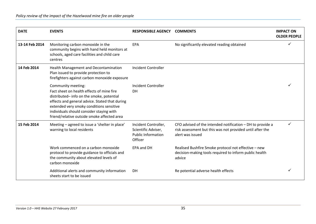| <b>DATE</b>    | <b>EVENTS</b>                                                                                                                                                                                                                                                                                        | <b>RESPONSIBLE AGENCY</b>                                                           | <b>COMMENTS</b>                                                                                                                             | <b>IMPACT ON</b><br><b>OLDER PEOPLE</b> |
|----------------|------------------------------------------------------------------------------------------------------------------------------------------------------------------------------------------------------------------------------------------------------------------------------------------------------|-------------------------------------------------------------------------------------|---------------------------------------------------------------------------------------------------------------------------------------------|-----------------------------------------|
| 13-14 Feb 2014 | Monitoring carbon monoxide in the<br>community begins with hand held monitors at<br>schools, aged care facilities and child care<br>centres                                                                                                                                                          | EPA                                                                                 | No significantly elevated reading obtained                                                                                                  |                                         |
| 14 Feb 2014    | Health Management and Decontamination<br>Plan issued to provide protection to<br>firefighters against carbon monoxide exposure                                                                                                                                                                       | Incident Controller                                                                 |                                                                                                                                             |                                         |
|                | Community meeting:<br>Fact sheet on health effects of mine fire<br>distributed-info on the smoke, potential<br>effects and general advice. Stated that during<br>extended very smoky conditions sensitive<br>individuals should consider staying with<br>friend/relative outside smoke affected area | Incident Controller<br><b>DH</b>                                                    |                                                                                                                                             |                                         |
| 15 Feb 2014    | Meeting - agreed to issue a 'shelter in place'<br>warning to local residents                                                                                                                                                                                                                         | Incident Controller,<br>Scientific Adviser,<br><b>Public Information</b><br>Officer | CFO advised of the intended notification - DH to provide a<br>risk assessment but this was not provided until after the<br>alert was issued |                                         |
|                | Work commenced on a carbon monoxide<br>protocol to provide guidance to officials and<br>the community about elevated levels of<br>carbon monoxide                                                                                                                                                    | EPA and DH                                                                          | Realised Bushfire Smoke protocol not effective - new<br>decision-making tools required to inform public health<br>advice                    |                                         |
|                | Additional alerts and community information<br>sheets start to be issued                                                                                                                                                                                                                             | <b>DH</b>                                                                           | Re potential adverse health effects                                                                                                         |                                         |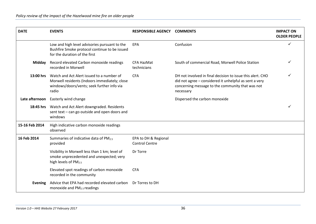| <b>DATE</b>    | <b>EVENTS</b>                                                                                                                                     | <b>RESPONSIBLE AGENCY</b>                     | <b>COMMENTS</b>                                                                                                                                                                       | <b>IMPACT ON</b><br><b>OLDER PEOPLE</b> |
|----------------|---------------------------------------------------------------------------------------------------------------------------------------------------|-----------------------------------------------|---------------------------------------------------------------------------------------------------------------------------------------------------------------------------------------|-----------------------------------------|
|                | Low and high level advisories pursuant to the<br>Bushfire Smoke protocol continue to be issued<br>for the duration of the first                   | EPA                                           | Confusion                                                                                                                                                                             | ✓                                       |
| Midday         | Record elevated Carbon monoxide readings<br>recorded in Morwell                                                                                   | <b>CFA HazMat</b><br>technicians              | South of commercial Road, Morwell Police Station                                                                                                                                      |                                         |
| 13:00 hrs      | Watch and Act Alert issued to a number of<br>Morwell residents (Indoors immediately; close<br>windows/doors/vents; seek further info via<br>radio | <b>CFA</b>                                    | DH not involved in final decision to issue this alert. CHO<br>did not agree - considered it unhelpful as sent a very<br>concerning message to the community that was not<br>necessary |                                         |
| Late afternoon | Easterly wind change                                                                                                                              |                                               | Dispersed the carbon monoxide                                                                                                                                                         |                                         |
|                | 18:45 hrs Watch and Act Alert downgraded. Residents<br>sent text - can go outside and open doors and<br>windows                                   |                                               |                                                                                                                                                                                       |                                         |
| 15-16 Feb 2014 | High indicative carbon monoxide readings<br>observed                                                                                              |                                               |                                                                                                                                                                                       |                                         |
| 16 Feb 2014    | Summaries of indicative data of PM2.5<br>provided                                                                                                 | EPA to DH & Regional<br><b>Control Centre</b> |                                                                                                                                                                                       |                                         |
|                | Visibility in Morwell less than 1 km; level of<br>smoke unprecedented and unexpected; very<br>high levels of PM <sub>2.5</sub>                    | Dr Torre                                      |                                                                                                                                                                                       |                                         |
|                | Elevated spot readings of carbon monoxide<br>recorded in the community                                                                            | <b>CFA</b>                                    |                                                                                                                                                                                       |                                         |
| <b>Evening</b> | Advice that EPA had recorded elevated carbon<br>monoxide and PM <sub>2.5</sub> readings                                                           | Dr Torres to DH                               |                                                                                                                                                                                       |                                         |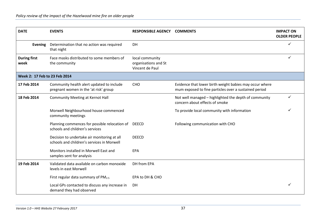| <b>DATE</b>                   | <b>EVENTS</b>                                                                             | <b>RESPONSIBLE AGENCY COMMENTS</b>                         |                                                                                                                  | <b>IMPACT ON</b><br><b>OLDER PEOPLE</b> |
|-------------------------------|-------------------------------------------------------------------------------------------|------------------------------------------------------------|------------------------------------------------------------------------------------------------------------------|-----------------------------------------|
| Evening                       | Determination that no action was required<br>that night                                   | <b>DH</b>                                                  |                                                                                                                  | ✓                                       |
| <b>During first</b><br>week   | Face masks distributed to some members of<br>the community                                | local community<br>organisations and St<br>Vincent de Paul |                                                                                                                  | ✓                                       |
| Week 2: 17 Feb to 23 Feb 2014 |                                                                                           |                                                            |                                                                                                                  |                                         |
| 17 Feb 2014                   | Community health alert updated to include<br>pregnant women in the 'at risk' group        | CHO                                                        | Evidence that lower birth weight babies may occur where<br>mum exposed to fine particles over a sustained period |                                         |
| 18 Feb 2014                   | <b>Community Meeting at Kernot Hall</b>                                                   |                                                            | Not well managed - highlighted the depth of community<br>concern about effects of smoke                          | $\checkmark$                            |
|                               | Morwell Neighbourhood house commenced<br>community meetings                               |                                                            | To provide local community with information                                                                      |                                         |
|                               | Planning commences for possible relocation of<br>schools and children's services          | <b>DEECD</b>                                               | Following communication with CHO                                                                                 |                                         |
|                               | Decision to undertake air monitoring at all<br>schools and children's services in Morwell | <b>DEECD</b>                                               |                                                                                                                  |                                         |
|                               | Monitors installed in Morwell East and<br>samples sent for analysis                       | EPA                                                        |                                                                                                                  |                                         |
| 19 Feb 2014                   | Validated data available on carbon monoxide<br>levels in east Morwell                     | DH from EPA                                                |                                                                                                                  |                                         |
|                               | First regular data summary of PM <sub>2.5</sub>                                           | EPA to DH & CHO                                            |                                                                                                                  |                                         |
|                               | Local GPs contacted to discuss any increase in<br>demand they had observed                | DH                                                         |                                                                                                                  |                                         |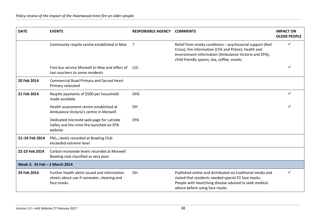| <b>DATE</b>                   | <b>EVENTS</b>                                                                                             | <b>RESPONSIBLE AGENCY</b> | <b>COMMENTS</b>                                                                                                                                                                                                          | <b>IMPACT ON</b><br><b>OLDER PEOPLE</b> |
|-------------------------------|-----------------------------------------------------------------------------------------------------------|---------------------------|--------------------------------------------------------------------------------------------------------------------------------------------------------------------------------------------------------------------------|-----------------------------------------|
|                               | Community respite centre established in Moe                                                               | ?                         | Relief from smoky conditions - psychosocial support (Red<br>Cross); fire information (CFA and Police); health and<br>environment information (Ambulance Victoria and EPA);<br>child friendly spaces, tea, coffee, snacks |                                         |
|                               | Free bus service Morwell to Moe and offers of<br>taxi vouchers to some residents                          | LCC.                      |                                                                                                                                                                                                                          |                                         |
| 20 Feb 2014                   | <b>Commercial Road Primary and Sacred Heart</b><br>Primary relocated                                      |                           |                                                                                                                                                                                                                          |                                         |
| 21 Feb 2014                   | Respite payments of \$500 per household<br>made available                                                 | <b>DHS</b>                |                                                                                                                                                                                                                          |                                         |
|                               | Health assessment centre established at<br>Ambulance Victoria's centre in Morwell                         | <b>DH</b>                 |                                                                                                                                                                                                                          |                                         |
|                               | Dedicated microsite web page for Latrobe<br>Valley and the mine fire launched on EPA<br>website           | <b>EPA</b>                |                                                                                                                                                                                                                          |                                         |
| 21-24 Feb 2014                | PM <sub>2.5</sub> levels recorded at Bowling Club<br>exceeded extreme level                               |                           |                                                                                                                                                                                                                          |                                         |
| 22-23 Feb 2014                | Carbon monoxide levels recorded at Morwell<br>Bowling club classified as very poor                        |                           |                                                                                                                                                                                                                          |                                         |
| Week 3: 24 Feb - 2 March 2014 |                                                                                                           |                           |                                                                                                                                                                                                                          |                                         |
| 24 Feb 2014                   | Further health alerts issued and information<br>sheets about use if rainwater, cleaning and<br>face masks | DH                        | Published online and distributed via traditional media and<br>stated that residents needed special P2 face masks.<br>People with heart/lung disease advised to seek medical<br>advice before using face masks            |                                         |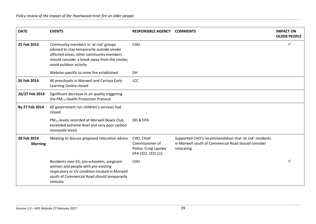| <b>DATE</b>                   | <b>EVENTS</b>                                                                                                                                                                                           | <b>RESPONSIBLE AGENCY</b>                                                  | <b>COMMENTS</b>                                                                                                              | <b>IMPACT ON</b><br><b>OLDER PEOPLE</b> |
|-------------------------------|---------------------------------------------------------------------------------------------------------------------------------------------------------------------------------------------------------|----------------------------------------------------------------------------|------------------------------------------------------------------------------------------------------------------------------|-----------------------------------------|
| 25 Feb 2014                   | Community members in 'at risk' groups<br>advised to stay temporarily outside smoke<br>affected areas; other community members<br>should consider a break away from the smoke;<br>avoid outdoor activity | CHO                                                                        |                                                                                                                              | ✓                                       |
|                               | Website specific to mine fire established                                                                                                                                                               | DH                                                                         |                                                                                                                              |                                         |
| 26 Feb 2014                   | All preschools in Morwell and Carinya Early<br>Learning Centre closed                                                                                                                                   | <b>LCC</b>                                                                 |                                                                                                                              |                                         |
| 26/27 Feb 2014                | Significant decrease in air quality triggering<br>the PM <sub>2.5</sub> Health Protection Protocol                                                                                                      |                                                                            |                                                                                                                              |                                         |
| By 27 Feb 2014                | All government run children's services had<br>closed                                                                                                                                                    |                                                                            |                                                                                                                              |                                         |
|                               | PM <sub>2.5</sub> levels recorded at Morwell Bowls Club<br>exceeded extreme level and very poor carbon<br>monoxide levels                                                                               | DH & EPA                                                                   |                                                                                                                              |                                         |
| 28 Feb 2014<br><b>Morning</b> | Meeting to discuss proposed relocation advice                                                                                                                                                           | CHO, Chief<br>Commissioner of<br>Police, Craig Lapsley<br>EPA CEO, CEO LCC | Supported CHO's recommendation that 'at risk' residents<br>in Morwell south of Commercial Road should consider<br>relocating |                                         |
|                               | Residents over 65, pre-schoolers, pregnant<br>women and people with pre-existing<br>respiratory or CV condition located in Morwell<br>south of Commercial Road should temporarily<br>relocate           | <b>CHO</b>                                                                 |                                                                                                                              |                                         |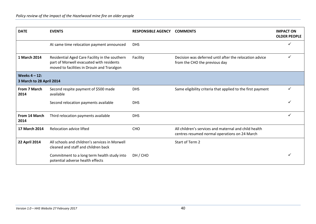| <b>DATE</b>                                  | <b>EVENTS</b>                                                                                                                             | <b>RESPONSIBLE AGENCY</b> | <b>COMMENTS</b>                                                                                        | <b>IMPACT ON</b><br><b>OLDER PEOPLE</b> |
|----------------------------------------------|-------------------------------------------------------------------------------------------------------------------------------------------|---------------------------|--------------------------------------------------------------------------------------------------------|-----------------------------------------|
|                                              | At same time relocation payment announced                                                                                                 | <b>DHS</b>                |                                                                                                        |                                         |
| 1 March 2014                                 | Residential Aged Care Facility in the southern<br>part of Morwell evacuated with residents<br>moved to facilities in Drouin and Traralgon | Facility                  | Decision was deferred until after the relocation advice<br>from the CHO the previous day               |                                         |
| Weeks $4 - 12$ :<br>3 March to 28 April 2014 |                                                                                                                                           |                           |                                                                                                        |                                         |
| From 7 March<br>2014                         | Second respite payment of \$500 made<br>available                                                                                         | <b>DHS</b>                | Same eligibility criteria that applied to the first payment                                            |                                         |
|                                              | Second relocation payments available                                                                                                      | <b>DHS</b>                |                                                                                                        |                                         |
| From 14 March<br>2014                        | Third relocation payments available                                                                                                       | <b>DHS</b>                |                                                                                                        | ✓                                       |
| 17 March 2014                                | <b>Relocation advice lifted</b>                                                                                                           | <b>CHO</b>                | All children's services and maternal and child health<br>centres resumed normal operations on 24 March |                                         |
| <b>22 April 2014</b>                         | All schools and children's services in Morwell<br>cleaned and staff and children back                                                     |                           | Start of Term 2                                                                                        |                                         |
|                                              | Commitment to a long term health study into<br>potential adverse health effects                                                           | DH / CHO                  |                                                                                                        |                                         |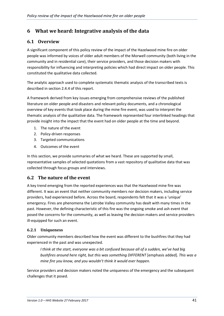# <span id="page-41-0"></span>**6 What we heard: Integrative analysis of the data**

# **6.1 Overview**

A significant component of this policy review of the impact of the Hazelwood mine fire on older people was informed by voices of older adult members of the Morwell community (both living in the community and in residential care), their service providers, and those decision makers with responsibility for influencing and interpreting policies which had direct impact on older people. This constituted the qualitative data collected.

The analytic approach used to complete systematic thematic analysis of the transcribed texts is described in section 2.4.4 of this report.

A framework derived from key issues emerging from comprehensive reviews of the published literature on older people and disasters and relevant policy documents, and a chronological overview of key events that took place during the mine fire event, was used to interpret the thematic analysis of the qualitative data. The framework represented four interlinked headings that provide insight into the impact that the event had on older people at the time and beyond.

- 1. The nature of the event
- 2. Policy-driven responses
- 3. Targeted communications
- 4. Outcomes of the event

In this section, we provide summaries of what we heard. These are supported by small, representative samples of selected quotations from a vast repository of qualitative data that was collected through focus groups and interviews.

# **6.2 The nature of the event**

A key trend emerging from the reported experiences was that the Hazelwood mine fire was different. It was an event that neither community members nor decision makers, including service providers, had experienced before. Across the board, respondents felt that it was a 'unique' emergency. Fires are phenomena the Latrobe Valley community has dealt with many times in the past. However, the defining characteristic of this fire was the ongoing smoke and ash event that posed the concerns for the community, as well as leaving the decision makers and service providers ill-equipped for such an event.

# **6.2.1 Uniqueness**

Older community members described how the event was different to the bushfires that they had experienced in the past and was unexpected.

*I think at the start, everyone was a bit confused because all of a sudden, we've had big bushfires around here right, but this was something DIFFERENT* [emphasis added]*. This was a mine fire you know, and you wouldn't think it would ever happen.*

Service providers and decision makers noted the uniqueness of the emergency and the subsequent challenges that it posed.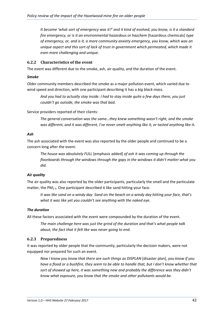*It became 'what sort of emergency was it?' and it kind of evolved, you know, is it a standard fire emergency, or is it an environmental hazardous or hazchem* [hazardous chemicals] *type of emergency, or, and is it, a more community anxiety emergency, you know, which was an unique aspect and this sort of lack of trust in government which permeated, which made it even more challenging and unique.*

# **6.2.2 Characteristics of the event**

The event was different due to the smoke, ash, air quality, and the duration of the event.

#### *Smoke*

Older community members described the smoke as a major pollution event, which varied due to wind speed and direction, with one participant describing it has a *big black mass*.

*And you had to actually stay inside. I had to stay inside quite a few days there, you just couldn't go outside, the smoke was that bad.*

Service providers reported of their clients:

*The general conversation was the same…they knew something wasn't right, and the smoke was different, and it was different, I've never smelt anything like it, or tasted anything like it.*

#### *Ash*

The ash associated with the event was also reported by the older people and continued to be a concern long after the event.

*The house was absolutely FULL* [emphasis added] *of ash it was coming up through the floorboards through the windows through the gaps in the windows it didn't matter what you did.*

### *Air quality*

The air quality was also reported by the older participants, particularly the smell and the particulate matter, the PM<sub>2.5</sub>. One participant described it like sand hitting your face.

*It was like sand on a windy day. Sand on the beach on a windy day hitting your face, that's what it was like yet you couldn't see anything with the naked eye.*

### *The duration*

All these factors associated with the event were compounded by the duration of the event.

*The main challenge here was just the grind of the duration and that's what people talk about, the fact that it felt like was never going to end.*

### **6.2.3 Preparedness**

It was reported by older people that the community, particularly the decision makers, were not equipped nor prepared for such an event.

*Now I know you know that there are such things as DISPLAN* [disaster plan]*, you know if you*  have a flood or a bushfire, they seem to be able to handle that, but I don't know whether that sort of showed up here, it was something new and probably the difference was they didn't *know what exposure, you know that the smoke and other pollutants would be*.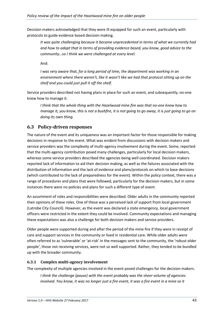Decision makers acknowledged that they were ill equipped for such an event, particularly with protocols to guide evidence based decision making.

*It was quite challenging because it became unprecedented in terms of what we currently had and how to adapt that in terms of providing evidence based, you know, good advice to the community…so I think we were challenged at every level.*

And:

*I* was very aware that, for a long period of time, the department was working in an *environment where there weren't, like it wasn't like we had that protocol sitting up on the shelf and you could just pull it off the shelf*.

Service providers described not having plans in place for such an event, and subsequently, no-one knew how to manage it.

*I think that the whole thing with the Hazelwood mine fire was that no-one knew how to manage it, you know, this is not a bushfire, it is not going to go away, it is just going to go on doing its own thing.*

# <span id="page-43-0"></span>**6.3 Policy-driven responses**

The nature of the event and its uniqueness was an important factor for those responsible for making decisions in response to the event. What was evident from discussions with decision makers and service providers was the complexity of multi-agency involvement during the event. Some, reported that the multi-agency contribution posed many challenges, particularly for local decision makers, whereas some service providers described the agencies being well coordinated. Decision makers reported lack of information to aid their decision making, as well as the failures associated with the distribution of information and the lack of evidence and plans/protocols on which to base decisions (which contributed to the lack of preparedness for the event). Within the policy context, there was a range of procedures and plans that were followed, particularly for the decision makers, but in some instances there were no policies and plans for such a different type of event.

An assortment of roles and responsibilities were described. Older adults in the community reported their opinions of these roles. One of these was a perceived lack of support from local government (Latrobe City Council). However, as the event was declared a state emergency, local government officers were restricted in the extent they could be involved. Community expectations and managing these expectations was also a challenge for both decision makers and service providers.

Older people were supported during and after the period of the mine fire if they were in receipt of care and support services in the community or lived in residential care. While older adults were often referred to as 'vulnerable' or 'at-risk' in the messages sent to the community, the 'robust older people', those not receiving services, were not so well supported. Rather, they tended to be bundled up with the broader community.

# **6.3.1 Complex multi-agency involvement**

The complexity of multiple agencies involved in the event posed challenges for the decision makers.

*I think the challenge (pause) with the event probably was the sheer volume of agencies involved. You know, it was no longer just a fire event, it was a fire event in a mine so it*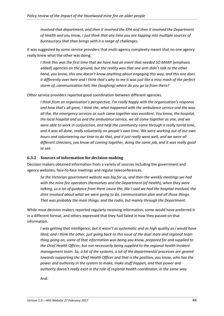*involved that department, and then it involved the EPA and then it involved the Department of Health and you know, I just think that any time you are tapping into multiple sources of bureaucracy that than brings with it a range of challenges.*

It was suggested by some service providers that multi-agency complexity meant that no one agency really knew what the other was doing.

*I think this was the first time that we have had an event that needed SO MANY* [emphasis added] *agencies on the ground, but the reality was that one arm didn't talk to the other hand, you know, this one doesn't know anything about engaging this way, and this one does it differently over here and I think that's why to me it was just like a miss mash of the perfect storm of, communication hell, like (laughing) where do you go to from there?*

Other service providers reported good coordination between different agencies.

*I think from an organisation's perspective, I'm really happy with the organisation's response and how that's all gone, I think the, what happened with the ambulance service and the way all the, the emergency services as such came together was excellent. You know, the hospital, the local hospital and us and the ambulance service, we all came together as one, and we were able to work in conjunction, and help the community come through a really torrid time, and it was all done, really voluntarily on people's own time. We were working out of our own hours and volunteering our time to do that, and it just really went well, and we were all different clinicians, you know all coming together, doing the same job, and it was really good to see.*

#### **6.3.2 Sources of information for decision-making**

Decision makers obtained information from a variety of sources including the government and agency websites, face-to-face meetings and regular teleconferences.

*So the Victorian government website was big for us, and then the weekly meetings we had with the mine fire operators themselves and the Department (of Health), when they were talking, so a lot of guidance from them cause the, like I said we had the hospital involved, the shire involved about what we were going to do, communication plan and all those things. That was probably the main things, and the radio, but mainly through the Department.*

While most decision makers reported regularly receiving information, some would have preferred it in a different format, and others expressed that they had failed in how they passed on that information.

*I was getting that intelligence, but it wasn't as systematic and as high quality as I would have*  liked, and I think the other, just going back to this issue of the dual state and regional team *thing going on, some of that information was being you know, prepared for and supplied to the Chief Health Officer, but not necessarily being supplied to the regional health incident management team. So, a lot of the systems, a lot of the departmental processes are geared towards supporting the Chief Health Officer and that is the position, you know, who has the power and authority in the system to make, make stuff happen, and that power and authority doesn't really exist in the role of regional health coordinator, in the same way.*

And: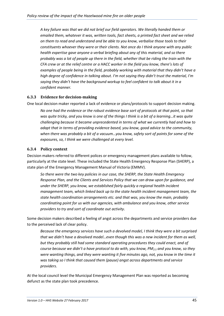*A key failure was that we did not brief our field operators. We literally handed them or emailed them, whatever it was, written tools, fact sheets, a printed fact sheet and we relied on them to read and understand and be able to you know, verbalise those tools to their constituents whoever they were or their clients. Not once do I think anyone with any public health expertise gave anyone a verbal briefing about any of this material, and so there probably was a lot of people up there in the field, whether that be riding the train with the CFA crew or at the relief centre or a HACC worker in the field you know, there's lots of examples of people being in the field, probably working with material that they didn't have a high degree of confidence in talking about. I'm not saying they didn't trust the material, I'm saying they didn't have the background workup to feel confident to talk about it in a confident manner.*

# **6.3.3 Evidence for decision-making**

One local decision maker reported a lack of evidence or plans/protocols to support decision making.

*No one had the evidence or the robust evidence base sort of protocols at that point, so that was quite tricky, and you know is one of the things I think is a bit of a learning…it was quite challenging because it became unprecedented in terms of what we currently had and how to adapt that in terms of providing evidence based, you know, good advice to the community, when there was probably a bit of a vacuum…you know, safety sort of points for some of the exposures, so, I think we were challenged at every level.*

# **6.3.4 Policy context**

Decision makers referred to different polices or emergency management plans available to follow, particularly at the state level. These included the State Health Emergency Response Plan (SHERP), a state plan of the Emergency Management Manual of Victoria (EMMV).

*So there were the two key policies in our case, the SHERP, the State Health Emergency Response Plan, and the Clients and Services Policy that we can draw upon for guidance, and under the SHERP, you know, we established fairly quickly a regional health incident management team, which linked back up to the state health incident management team, the state health coordination arrangements etc. and that was, you know the main, probably coordinating point for us with our agencies, with ambulance and you know, other service providers to try and sort of coordinate out activity*.

Some decision makers described a feeling of angst across the departments and service providers due to the perceived lack of clear policy.

*Because the emergency services have such a devolved model, I think they were a bit surprised that we didn't have a devolved model…even though this was a new incident for them as well, but they probably still had some standard operating procedures they could enact, and of course because we didn't a have protocol to do with, you know, PM2.5 and you know, so they were wanting things, and they were wanting it five minutes ago, not, you know in the time it was taking so I think that caused them (pause) angst across departments and service providers*.

At the local council level the Municipal Emergency Management Plan was reported as becoming defunct as the state plan took precedence.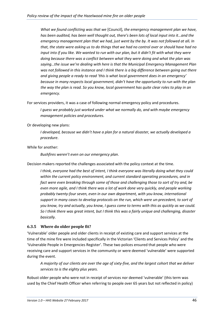*What we found conflicting was that we* [Council]*, the emergency management plan we have, has been audited, has been well thought out, there's been lots of local input into it…and the emergency management plan that we had, just went by the by. It was not followed at all. In that, the state were asking us to do things that we had no control over or should have had no input into if you like. We wanted to run with our plan, but it didn't fit with what they were doing because there was a conflict between what they were doing and what the plan was saying…the issue we're dealing with here is that the Municipal Emergency Management Plan was not followed in this instance and I think there is a big difference between going out there and giving people a ready to read 'this is what local government does in an emergency' because in many respects local government, didn't have the opportunity to run with the plan the way the plan is read. So you know, local government has quite clear roles to play in an emergency.* 

For services providers, it was a case of following normal emergency policy and procedures.

*I guess we probably just worked under what we normally do, and with maybe emergency management policies and procedures.*

Or developing new plans:

*I developed, because we didn't have a plan for a natural disaster, we actually developed a procedure*.

### While for another:

*Bushfires weren't even on our emergency plan*.

Decision makers reported the challenges associated with the policy context at the time.

*I think, everyone had the best of intent, I think everyone was literally doing what they could within the current policy environment, and current standard operating procedures, and in fact were even breaking through some of those and challenging those to sort of try and, be even more agile, and I think there was a lot of work done very quickly, and people working probably twenty-four seven, even in our own department, with you know, international support in many cases to develop protocols on the run, which were un-precedent, to sort of you know, try and actually, you know, I guess come to terms with this as quickly as we could. So I think there was great intent, but I think this was a fairly unique and challenging, disaster basically.*

# **6.3.5 Where do older people fit?**

'Vulnerable' older people and older clients in receipt of existing care and support services at the time of the mine fire were included specifically in the Victorian 'Clients and Services Policy' and the 'Vulnerable People in Emergencies Register'. These two polices ensured that people who were receiving care and support services in the community or were deemed 'vulnerable' were supported during the event.

*A majority of our clients are over the age of sixty-five, and the largest cohort that we deliver services to is the eighty plus years.* 

Robust older people who were not in receipt of services nor deemed 'vulnerable' (this term was used by the Chief Health Officer when referring to people over 65 years but not reflected in policy)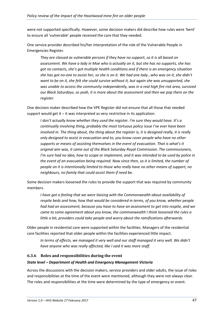were not supported specifically. However, some decision makers did describe how rules were 'bent' to ensure all 'vulnerable' people received the care that they needed.

One service provider described his/her interpretation of the role of the Vulnerable People in Emergencies Register.

*They are classed as vulnerable persons if they have no support, so it is all based on assessment. We have a lady in Moe who is actually on it, but she has no supports, she has got no contacts, she's got multiple health conditions and if there is an emergency situation she has got no-one to assist her, so she is on it. We had one lady…who was on it, she didn't want to be on it, she felt she could survive without it, but again she was unsupported, she was unable to access the community independently, was in a real high fire risk area, survived our Black Saturdays, so yeah, it is more about the assessment and then we pop them on the register.*

One decision maker described how the VPE Register did not ensure that all those that needed support would get it – it was interpreted as very restrictive in its application.

*I don't actually know whether they used the register. I'm sure they would have. It's a continually involving thing, probably the most tortuous policy issue I've ever have been involved in. The thing about, the thing about the register is, it is designed really, it is really only designed to assist in evacuation and to, you know cover people who have no other supports or means of assisting themselves in the event of evacuation. That is what's it original aim was, it came out of the Black Saturday Royal Commission. The commissioners, I'm sure had no idea, how to scope or implement, and it was intended to be used by police in the event of an evacuation being required. Now since then, so it is limited, the number of people on it is intentionally limited to those who really have no other means of support, no neighbours, no family that could assist them if need be.*

Some decision makers loosened the rules to provide the support that was required by community members.

*I have got a feeling that we were liaising with the Commonwealth about availability of respite beds and how, how that would be considered in terms, of you know, whether people had had an assessment, because you have to have an assessment to get into respite, and we came to some agreement about you know, the commonwealth I think loosened the rules a little a bit, providers could take people and worry about the ramifications afterwards.*

Older people in residential care were supported within the facilities. Managers of the residential care facilities reported that older people within the facilities experienced little impact.

*In terms of effects, we managed it very well and our staff managed it very well. We didn't have anyone who was really affected, like I said it was more staff.*

# **6.3.6 Roles and responsibilities during the event**

### *State level – Department of Health and Emergency Management Victoria*

Across the discussions with the decision makers, service providers and older adults, the issue of roles and responsibilities at the time of the event were mentioned, although they were not always clear. The roles and responsibilities at the time were determined by the type of emergency or event.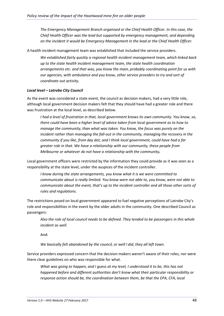*The Emergency Management Branch organised or the Chief Health Officer. In this case, the Chief Health Officer was the lead but supported by emergency management, and depending on the incident it would be Emergency Management in the lead or the Chief Health Officer.*

A health incident management team was established that included the service providers.

*We established fairly quickly a regional health incident management team, which linked back up to the state health incident management team, the state health coordination arrangements etc. and that was, you know the main, probably coordinating point for us with our agencies, with ambulance and you know, other service providers to try and sort of coordinate out activity.*

#### *Local level – Latrobe City Council*

As the event was considered a state event, the council as decision makers, had a very little role, although local government decision makers felt that they should have had a greater role and there was frustration at the local level, as described below.

*I had a level of frustration in that, local government knows its own community. You know, so, there could have been a higher level of advice taken from local government as to how to manage the community, than what was taken. You know, the focus was purely on the incident rather than managing the fall-out in the community, managing the recovery in the community if you like, from day dot, and I think local government, could have had a far greater role in that. We have a relationship with our community, these people from Melbourne or whatever do not have a relationship with the community.*

Local government officers were restricted by the information they could provide as it was seen as a responsibility at the state level, under the auspices of the incident controller.

*I know during the state arrangements, you know what it is we were committed to communicate about is really limited. You know were not able to, you know, were not able to communicate about the event, that's up to the incident controller and all those other sorts of rules and regulations*.

The restrictions posed on local government appeared to fuel negative perceptions of Latrobe City's role and responsibilities in the event by the older adults in the community. One described Council as passengers:

*Also the role of local council needs to be defined. They tended to be passengers in this whole incident as well.*

And:

*We basically felt abandoned by the council, or well I did, they all left town*.

Service providers expressed concern that the decision makers weren't aware of their roles, nor were there clear guidelines on who was responsible for what.

*What was going to happen, and I guess at my level, I understood it to be, this has not happened before and different authorities don't know what their particular responsibility or response action should be, the coordination between them, be that the EPA, CFA, local*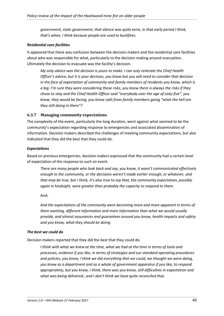*government, state government, that silence was quite eerie, in that early period I think, that's when, I think because people are used to bushfires.*

#### *Residential care facilities*

It appeared that there was confusion between the decision makers and the residential care facilities about who was responsible for what, particularly to the decision making around evacuation. Ultimately the decision to evacuate was the facility's decision.

*My only advice was the decision is yours to make. I can only reiterate the Chief Health Officer's advice, but it is your decision, you know but you will need to consider that decision in the face of expectation of community and family members of residents you know, which is a big. I'm sure they were considering those risks, you know there is always the risks if they chose to stay and the Chief Health Officer said "everybody over the age of sixty-five", you know, they would be facing, you know calls from family members going "what the hell are they still doing in there"?*

### **6.3.7 Managing community expectations**

The complexity of the event, particularly the long duration, went against what seemed to be the community's expectation regarding response to emergencies and associated dissemination of information. Decision makers described the challenges of meeting community expectations, but also indicated that they did the best that they could do.

### *Expectations*

Based on previous emergencies, decision makers expressed that the community had a certain level of expectation of the response to such an event.

*There are many people who look back and say, you know, it wasn't communicated effectively enough to the community, or the decisions weren't made earlier enough, or whatever, and that may be true, but I think, it's also true to say that, the community expectation, possibly again in hindsight, were greater than probably the capacity to respond to them*.

And:

*And the expectations of the community were becoming more and more apparent in terms of them wanting, different information and more information than what we would usually provide, and almost assurances and guarantees around you know, health impacts and safety and you know, what they should be doing*.

#### *The best we could do*

Decision makers reported that they did the best that they could do.

*I think with what we knew at the time, what we had at the time in terms of tools and processes, evidence if you like, in terms of strategies and our standard operating procedures and policies, you know, I think we did everything that we could, we thought we were doing, you know as a department and as a whole of government apparatus if you like, to respond appropriately, but you know, I think, there was you know, still difficulties in expectation and what was being delivered…and I don't think we have quite reconciled that.*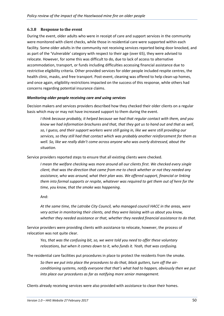### **6.3.8 Response to the event**

During the event, older adults who were in receipt of care and support services in the community were monitored with client checks, while those in residential care were supported within each facility. Some older adults in the community not receiving services reported being door knocked, and as part of the 'Vulnerable' category with respect to their age (over 65), they were advised to relocate. However, for some this was difficult to do, due to lack of access to alternative accommodation, transport, or funds including difficulties accessing financial assistance due to restrictive eligibility criteria. Other provided services for older people included respite centres, the health clinic, masks, and free transport. Post-event, cleaning was offered to help clean-up homes, and once again, eligibility restrictions impacted on the success of this response, while others had concerns regarding potential insurance claims.

### *Monitoring older people receiving care and using services*

Decision makers and services providers described how they checked their older clients on a regular basis which may or may not have increased support to them during the event.

*I think because probably, it helped because we had that regular contact with them, and you know we had information brochures and that, that they got us to hand out and that as well,*  so, I guess, and their support workers were still going in, like we were still providing our *services, so they still had that contact which was probably another reinforcement for them as well. So, like we really didn't come across anyone who was overly distressed, about the situation.*

Service providers reported steps to ensure that all existing clients were checked.

*I mean the welfare checking was more around all our clients first. We checked every single client, that was the direction that came from me to check whether or not they needed any assistance, who was around, what their plan was. We offered support, financial or linking them into formal supports or respite, whatever was required to get them out of here for the time, you know, that the smoke was happening*.

And:

*At the same time, the Latrobe City Council, who managed council HACC in the areas, were very active in monitoring their clients, and they were liaising with us about you know, whether they needed assistance or that, whether they needed financial assistance to do that.*

Service providers were providing clients with assistance to relocate, however, the process of relocation was not quite clear.

*Yes, that was the confusing bit, so, we were told you need to offer these voluntary relocations, but when it comes down to it, who funds it. Yeah, that was confusing.*

The residential care facilities put procedures in place to protect the residents from the smoke.

*So then we put into place the procedures to do that, block gutters, turn off the airconditioning systems, notify everyone that that's what had to happen, obviously then we put into place our procedures as far as notifying more senior management.*

Clients already receiving services were also provided with assistance to clean their homes.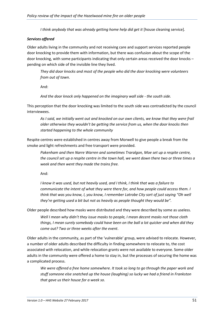*I think anybody that was already getting home help did get it* [house cleaning service].

#### *Services offered*

Older adults living in the community and not receiving care and support services reported people door knocking to provide them with information, but there was confusion about the scope of the door knocking, with some participants indicating that only certain areas received the door knocks – pending on which side of the invisible line they lived.

*They did door knocks and most of the people who did the door knocking were volunteers from out of town*.

And:

*And the door knock only happened on the imaginary wall side - the south side.*

This perception that the door knocking was limited to the south side was contradicted by the council interviewees.

*As I said, we initially went out and knocked on our own clients, we know that they were frail older otherwise they wouldn't be getting the service from us, when the door knocks then started happening to the whole community*

Respite centres were established in centres away from Morwell to give people a break from the smoke and light refreshments and free transport were provided.

*Pakenham and then Narre Warren and sometimes Traralgon, Moe set up a respite centre, the council set up a respite centre in the town hall, we went down there two or three times a week and then went they made the trains free.*

And:

*I know it was used, but not heavily used, and I think, I think that was a failure to communicate the intent of what they were there for, and how people could access them. I think that was you know, I, you know, I remember Latrobe City sort of just saying "Oh well they're getting used a bit but not as heavily as people thought they would be".*

Older people described how masks were distributed and they were described by some as useless.

*Well I mean why didn't they issue masks to people, I mean decent masks not those cloth things, I mean surely somebody could have been on the ball a lot quicker and when did they come out? Two or three weeks after the event*.

Older adults in the community, as part of the 'vulnerable' group, were advised to relocate. However, a number of older adults described the difficulty in finding somewhere to relocate to, the cost associated with relocation, and while relocation grants were not available to everyone. Some older adults in the community were offered a home to stay in, but the processes of securing the home was a complicated process.

*We were offered a free home somewhere. It took so long to go through the paper work and stuff someone else snatched up the house (laughing) so lucky we had a friend in Frankston that gave us their house for a week so.*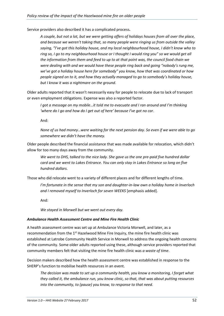Service providers also described it has a complicated process**.**

*A couple, but not a lot, but we were getting offers of holidays houses from all over the place, and because we weren't taking that, so many people were ringing us from outside the valley saying, "I've got this holiday house, and my local neighbourhood house, I didn't know who to ring so, I go to my neighbourhood house or I thought I would ring you" so we would get all the information from them and feed to up to at that point was, the council food chain we were dealing with and we would have these people ring back and going "nobody's rung me, we've got a holiday house here for somebody" you know, how that was coordinated or how people signed on to it, and how they actually managed to go to somebody's holiday house, but I know it was a nightmare on the ground*.

Older adults reported that it wasn't necessarily easy for people to relocate due to lack of transport or even employment obligations. Expense was also a reported factor.

*I got a message on my mobile…it told me to evacuate and I ran around and I'm thinking 'where do I go and how do I get out of here' because I've got no car*.

And:

*None of us had money…were waiting for the next pension day. So even if we were able to go somewhere we didn't have the money.*

Older people described the financial assistance that was made available for relocation, which didn't allow for too many days away from the community.

*We went to DHS, talked to the nice lady. She gave us the one pre-paid five hundred dollar card and we went to Lakes Entrance. You can only stay in Lakes Entrance so long on five hundred dollars*.

Those who did relocate went to a variety of different places and for different lengths of time.

*I'm fortunate in the sense that my son and daughter-in-law own a holiday home in Inverloch and I removed myself to Inverloch for seven WEEKS* [emphasis added].

And:

*We stayed in Morwell but we went out every day.*

### *Ambulance Health Assessment Centre and Mine Fire Health Clinic*

A health assessment centre was set up at Ambulance Victoria Morwell, and later, as a recommendation from the  $1<sup>st</sup>$  Hazelwood Mine Fire Inquiry, the mine fire health clinic was established at Latrobe Community Health Service in Morwell to address the ongoing health concerns of the community. Some older adults reported using these, although service providers reported that community members felt that visiting the mine fire health clinic was *a waste of time*.

Decision makers described how the health assessment centre was established in response to the SHERP's function to mobilise health resources in an event.

*The decision was made to set up a community health, you know a monitoring, I forget what they called it, the ambulance run, you know clinic, so that, that was about putting resources into the community, to (pause) you know, to response to that need.*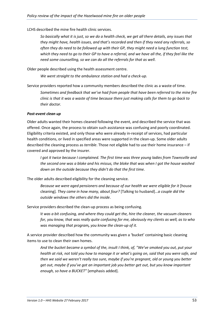LCHS described the mine fire health clinic services.

*So basically what it is just, so we do a health check, we get all there details, any issues that they might have, health issues, and that's recorded and then if they need any referrals, so often they do need to be followed up with their GP, they might need a lung function test, which they need to go to their GP to have a referral, and we have all the, if they feel like the need some counselling, so we can do all the referrals for that as well*.

Older people described using the health assessment centre.

*We went straight to the ambulance station and had a check-up.*

Service providers reported how a community members described the clinic as a waste of time.

*Sometimes and feedback that we've had from people that have been referred to the mine fire clinic is that it was a waste of time because there just making calls for them to go back to their doctor.*

### *Post-event clean up*

Older adults wanted their homes cleaned following the event, and described the service that was offered. Once again, the process to obtain such assistance was confusing and poorly coordinated. Eligibility criteria existed, and only those who were already in-receipt of services, had particular health conditions, or lived in specified areas were supported in the clean-up. Some older adults described the cleaning process as *terrible*. Those not eligible had to use their home insurance – if covered and approved by the insurer.

*I got it twice because I complained. The first time was three young ladies from Townsville and the second one was a bloke and his missus, the bloke that was when I got the house washed down on the outside because they didn't do that the first time.*

The older adults described eligibility for the cleaning service.

*Because we were aged pensioners and because of our health we were eligible for it* [house cleaning]*. They came in how many, about four?* [Talking to husband]…*a couple did the outside windows the others did the inside*.

Service providers described the clean-up process as being confusing.

I*t was a bit confusing, and where they could get the, hire the cleaner, the vacuum cleaners for, you know, that was really quite confusing for me, obviously my clients as well, as to who was managing that program, you know the clean-up of it.*

A service provider described how the community was given a 'bucket' containing basic cleaning items to use to clean their own homes.

*And the bucket became a symbol of the, insult I think, of, "We've smoked you out, put your health at risk, not told you how to manage it or what's going on, said that you were safe, and then we said we weren't really too sure, maybe if you're pregnant, old or young you better get out, maybe if you've got an important job you better get out, but you know important enough, so have a BUCKET"* [emphasis added].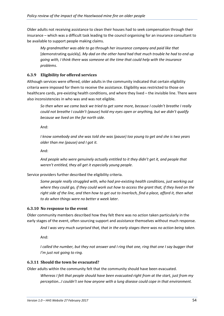Older adults not receiving assistance to clean their houses had to seek compensation through their insurance – which was a difficult task leading to the council organising for an insurance consultant to be available to support people making claims.

*My grandmother was able to go through her insurance company and paid like that*  [demonstrating quickly]. *My dad on the other hand had that much trouble he had to end up going with, I think there was someone at the time that could help with the insurance problems*.

# **6.3.9 Eligibility for offered services**

Although services were offered, older adults in the community indicated that certain eligibility criteria were imposed for them to receive the assistance. Eligibility was restricted to those on healthcare cards, pre-existing health conditions, and where they lived – the invisible line. There were also inconsistencies in who was and was not eligible.

*So then when we came back we tried to get some more, because I couldn't breathe I really could not breathe I couldn't (pause) hold my eyes open or anything, but we didn't qualify because we lived on the far north side.*

And:

*I know somebody and she was told she was (pause) too young to get and she is two years older than me (pause) and I got it.*

And:

*And people who were genuinely actually entitled to it they didn't get it, and people that weren't entitled, they all get it especially young people*.

Service providers further described the eligibility criteria.

*Some people really struggled with, who had pre-existing health conditions, just working out where they could go, if they could work out how to access the grant that, if they lived on the right side of the line, and then how to get out to Inverloch, find a place, afford it, then what to do when things were no better a week later*.

# **6.3.10 No response to the event**

Older community members described how they felt there was no action taken particularly in the early stages of the event, often sourcing support and assistance themselves without much response.

*And I was very much surprised that, that in the early stages there was no action being taken.*

And:

*I* called the number, but they not answer and *I* ring that one, ring that one I say bugger that *I'm just not going to ring.*

# **6.3.11 Should the town be evacuated?**

Older adults within the community felt that the community should have been evacuated.

*Whereas I felt that people should have been evacuated right from at the start, just from my perception…I couldn't see how anyone with a lung disease could cope in that environment.*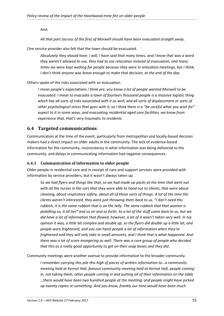And:

*All that part (across of the fire) of Morwell should have been evacuated straight away.*

One service provider also felt that the town should be evacuated.

*Absolutely they should have. I will, I have said that many times, and I know that was a word they weren't allowed to use, they had to use relocation instead of evacuation, and many times we were kept waiting for people because they were in relocation meetings, but I think, I don't think anyone was brave enough to make that decision, at the end of the day.*

Others spoke of the risks associated with an evacuation.

*I mean people's expectations I think are, you know a lot of people wanted Morwell to be evacuated. I mean to evacuate a town of fourteen thousand people is a massive logistic thing*  which has all sorts of risks associated with it as well, and all sorts of displacement or sorts of *other psychological stress that goes with it, so I think there is a "be careful what you wish for" aspect to it in some ways, and evacuating residential aged care facilities, we know from experience that, that's very traumatic to residents.*

# **6.4 Targeted communications**

Communication at the time of the event, particularly from metropolitan and locally-based decision makers had a direct impact on older adults in the community. The lack of evidence-based information for the community, inconsistency in what information was being delivered to the community, and delays in communicating information had negative consequences.

# **6.4.1 Communication of information to older people**

Older people in residential care and in receipt of care and support services were provided with information by service providers, but it wasn't always taken up.

*So we had flyers and things like that, so we had made up packs at the time that went out with all the nurses in the cars that they were able to hand out to clients, that were about cleaning, about respiratory safety, about all of those sorts of things. A lot of the time the clients weren't interested, they were just throwing them back to us, "I don't need this rubbish, it is the same rubbish that is on the telly. The same rubbish that that women is pedalling us, it all lies" and so on and so forth. So a lot of the stuff came back to us, but we did have a lot of information that flowed, however, a lot of it wasn't taken very well. In my opinion it was, a little bit complex and double up, so the flyers did double up a little bit, and people were frightened, and you can hand people a lot of information when they're frightened and they will only take in small amounts, and I think that is what happened. And there was a lot of scare mongering as well. There was a core group of people who decided that this as a really good opportunity to get on their soap boxes and they did*.

Community meetings were another avenue to provide information to the broader community.

*I remember carrying this pile this high of pieces of written information to…a community meeting held at Kernot Hall, famous community meeting held at Kernot Hall, people coming in, not taking them, other people coming in and putting all of their information on the table …there would have been two hundred people at the meeting, and people might have picked up twenty copies or something. And you know, frankly our time would have been much*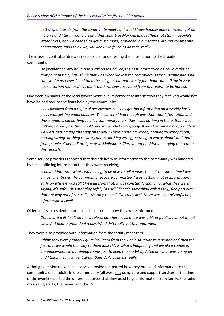*better spent, aside from the community meeting, I would have happily done it myself, got on my bike and literally gone around that suburb of Morwell and stuffed that stuff in people's letter boxes, and we needed to get much more, grounded in our tactics, around comms and engagement, and I think we, you know we failed to do that, really.*

The incident control centre was responsible for delivering the information to the broader community.

*He* [incident controller] *made a call on the advice, the best information he could make at that point in time, but I think that was when we lost the community's trust…people had said "no, you're no expert" and then the call goes out not twenty four hours later "Stay in your house, carbon monoxide". I don't think we ever recovered from that point, to be honest.*

One decision maker at the local government level reported that information they received would not have helped reduce the fears held by the community.

*I was involved from a regional perspective, so I was getting information on a weekly basis, plus I was getting email updates. The concern I had though was that, that information and those updates did nothing to allay community fears, there was nothing in there, there was nothing I could pass that would give some relief to anybody. It was the same old information we were getting day after day after day, "There's nothing wrong, nothing to worry about, nothing wrong, nothing to worry about, nothing wrong, nothing to worry about" and that's from people either in Traralgon or in Melbourne. They weren't in Morwell, trying to breathe this rubbish.*

Some service providers reported that their delivery of information to the community was hindered by the conflicting information that they were receiving.

*I couldn't interpret what I was seeing to be able to tell people, then at the same time I was on, as I mentioned the community recovery committee, I was getting a lot of information early on when it was still CFA lead from that, it was constantly changing, what they were*  saying, It's safe", 'it's probably safe", "its ok" "There's something called PM<sub>2.5</sub> fine particles *that are way out of control", "No they're not", "yes they are" There was a lot of conflicting information as well.*

Older adults in residential care facilities described how they were informed.

*Oh, I heard a little bit on the wireless, but there was, there was a bit of publicity about it, but we didn't hear a great deal really. We didn't really get that informed.*

They were also provided with information from the facility managers.

*I think they were probably quite insulated from the whole situation to a degree and then the fact that we would then say to them look this is what's happening and we did a couple of announcements in our dining rooms just to keep them a bit updated on what was going on and I think they just went about their daily business really.*

Although decision makers and service providers reported how they provided information to the community, older adults in the community (all were not using care and support services at the time of the event) reported the different sources that they used to get information from family, the radio, messaging alerts, the paper, and the TV.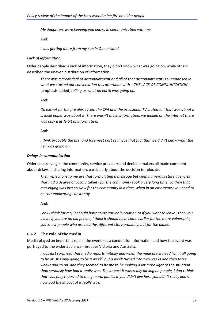*My daughters were keeping you know, in communication with me.*

And:

*I was getting more from my son in Queensland.* 

### *Lack of information*

Older people described a lack of information, they didn't know what was going on, while others described the uneven distribution of information.

*There was a great deal of disappointment and all of that disappointment is summarised in what we started out conversation this afternoon with – THE LACK OF COMMUNICATION*  [emphasis added] *telling us what on earth was going on.*

And:

*Oh except for the fire alerts from the CFA and the occasional TV statement that was about it … local paper was about it. There wasn't much information, we looked on the internet there was only a little bit of information.*

And:

*I think probably the first and foremost part of it was that fact that we didn't know what the hell was going on.*

### *Delays in communication*

Older adults living in the community, service providers and decision makers all made comment about delays in sharing information, particularly about the decision to relocate.

*Their reflections to me are that formulating a message between numerous state agencies that had a degree of accountability for the community took a very long time. So then that messaging was just so slow for the community in a time, when in an emergency you need to be communicating constantly.* 

And:

*Look I think for me, it should have come earlier in relation to if you want to leave , then you leave, if you are an old person, I think it should have come earlier for the more vulnerable, you know people who are healthy, different story probably, but for the oldies.*

# **6.4.2 The role of the media**

Media played an important role in the event –as a conduit for information and how the event was portrayed to the wider audience - broader Victoria and Australia.

*I was just surprised that media reports initially and when the mine fire started "oh it all going to be ok. It's only going to be a week" but a week turned into two weeks and then three weeks and so on, and they seemed to be me to be making a lot more light of the situation than seriously how bad it really was. The impact it was really having on people, I don't think that was fully reported to the general public. It you didn't live here you didn't really know how bad the impact of it really was.*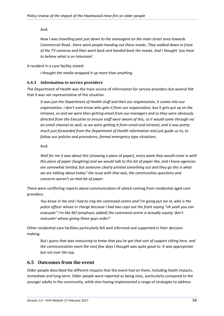# And:

*Now I was travelling past just down to the newsagent on the main street area towards Commercial Road…there were people handing out these masks. They walked down in-front of the TV cameras and then went back and handed back the masks. And I thought 'you have to believe what is on television'.*

A resident in a care facility stated:

*I thought the media wrapped it up more than anything.*

# **6.4.3 Information to service providers**

The Department of Health was the main source of information for service providers but several felt that it was not representative of the situation.

*It was just the Department of Health stuff and then our organisation, it comes into our organisation, I don't even know who gets it from our organisation, but it gets put up on the intranet, so and we were then getting email from our managers and so they were obviously directed from the Executive to ensure staff were aware of this, so it would come through via an email channel as well, so we were getting it from email and intranet, and it was pretty much just forwarded from the Department of Health information and just guide us to, to follow our policies and procedures, formal emergency type situations.*

And:

*Well for me it was about this* [showing a piece of paper]*, every week they would come in with this piece of paper (laughing) and we would talk to this bit of paper like, and I know agencies are somewhat limited, but someone clearly printed something out and they go this is what we are talking about today" the issue with that was, the communities questions and concerns weren't on that bit of paper.*

There were conflicting reports about communication of advice coming from residential aged care providers.

*You know in the end I had to ring the command centre and I'm going put me in, who is the police officer whose in charge because I had two cops out the front saying "oh yeah you can evacuate" I'm like NO* [emphasis added] *the command centre is actually saying 'don't evacuate' whose giving these guys order?*

Other residential care facilities particularly felt well informed and supported in their decision making.

*But I guess that was reassuring to know that you've got that sort of support sitting here, and the communication overt the next few days I thought was quite good to. It was appropriate but not over the top.*

# **6.5 Outcomes from the event**

Older people described the different impacts that the event had on them, including heath impacts, immediate and long-term. Older people were reported as being stoic, particularly compared to the younger adults in the community, while also having implemented a range of strategies to address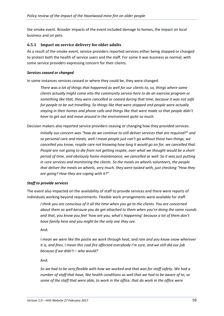the smoke event. Broader impacts of the event included damage to homes, the impact on local business and on pets.

### **6.5.1 Impact on service delivery for older adults**

As a result of the smoke event, service providers reported services either being stopped or changed to protect both the health of service users and the staff. For some it was business as normal, with some service providers expressing concern for their clients.

#### *Services ceased or changed*

In some instances services ceased or where they could be, they were changed.

*There was a lot of things that happened as well for our clients to, so, things where some clients actually might come into the community service here to do an exercise program or something like that, they were cancelled or ceased during that time, because it was not safe for people to be out travelling. So things like that were stopped and people were actually staying in their homes and phone calls and things like that were made so that people didn't have to get out and move around in the environment quite so much.*

Decision makers also reported service providers ceasing or changing how they provided services.

*Initially our concern was "how do we continue to still deliver services that are required?" and so personal care and meals, well I mean people just can't go without those two things, we cancelled you know, respite care not knowing how long it would go on for, we cancelled that. People are not going to die from not getting respite, over what we thought would be a short period of time, and obviously home maintenance, we cancelled as well. So it was just putting in core services and monitoring the clients. So the meals on wheels volunteers, the people that deliver the meals on wheels, very much, they were tasked with, just checking "How they are going? How they are coping with it?"*

### *Staff to provide services*

The event also impacted on the availability of staff to provide services and there were reports of individuals working beyond requirements. Flexible work arrangements were available for staff.

*I think you are conscious of it all the time when you go to the clients. You are concerned about them as well because you do get attached to them when you're doing the same rounds and that, you know you feel 'how are you, what's happening' because a lot of them don't have family here and you might be the only one they see.*

And:

*I mean we were like the postie we work through heat, and rain and you know snow wherever it is, and fires, I mean this coal fire affected everybody I'm sure, and we still did our job because if we didn't – who would?*

And:

*So we had to be very flexible with how we worked and that was for staff safety. We had a number of staff that have, like health conditions as well that we had to be aware of to, so some of the staff that were able, to work in the office, that do work in the office were*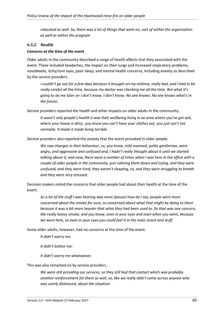*relocated as well. So, there was a lot of things that went on, sort of within the organisation as well as within the program.*

### **6.5.2 Health**

#### *Concerns at the time of the event*

Older adults in the community described a range of health effects that they associated with the event. These included headaches, the impact on their lungs and increased respiratory problems, nosebleeds, itchy/sore eyes, poor sleep, and mental health concerns, including anxiety as described by the service providers.

*I couldn't go out for a few days because it brought on my asthma, really bad, and I had to be really careful all the time, because my doctor was checking me all the time. But what it's going to do me later on I don't know. I don't know. No one knows. No one knows what's in the future.*

Service providers reported the health and other impacts on older adults in the community.

*It wasn't only people's health it was their wellbeing living in an area where you've got ash, where your house is dirty…you know you can't have your clothes out, you just can't live normally. It made it made living terrible.*

Service providers also reported the anxiety that the event provoked in older people.

*We saw changes in their behaviour, so, you know, mild manned, polite gentleman, were angry, and aggressive and confused and, I hadn't really thought about it until we started talking about it, and now, there were a number of times when I was here in the office with a couple of older people in the community, just calming them down and trying, and they were confused, and they were tired, they weren't sleeping, so, and they were struggling to breath and they were very stressed.*

Decision makers noted the concerns that older people had about their health at the time of the event.

*So a lot of the stuff I was hearing was more (pause) how do I say, people were more concerned about the smoke for sure, so concerned about what that might be doing to them because it was a bit more heavier that what they had been used to. So that was one concern, like really heavy smoke, and you know, even in your eyes and even when you went, because we were here, so even in your eyes you could feel it in the main street and stuff.*

Some older adults, however, had no concerns at the time of the event.

*It didn't worry me.*

*It didn't bother me.*

*It didn't worry me whatsoever.*

This was also remarked on by service providers.

*We were still providing our services, so they still had that contact which was probably another reinforcement for them as well, so, like we really didn't come across anyone who was overly distressed, about the situation*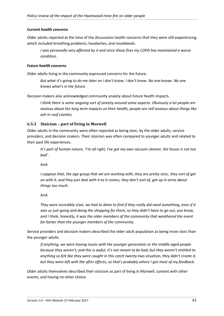### *Current health concerns*

Older adults reported at the time of the discussions health concerns that they were still experiencing which included breathing problems, headaches, and nosebleeds.

*I was personally very affected by it and since those fires my COPD has maintained a worse condition.*

#### *Future health concerns*

Older adults living in the community expressed concerns for the future.

*But what it's going to do me later on I don't know. I don't know. No one knows. No one knows what's in the future.*

Decision makers also acknowledged community anxiety about future health impacts.

*I think there is some ongoing sort of anxiety around some aspects. Obviously a lot people are anxious about the long term impacts on their health, people are still anxious about things like ash in roof cavities.*

### **6.5.3 Stoicism – part of living in Morwell**

Older adults in the community were often reported as being stoic, by the older adults, service providers, and decision makers. Their stoicism was often compared to younger adults and related to their past life experiences.

*It's part of human nature, 'I'm all right, I've got my own vacuum cleaner, the house is not too bad'.*

And:

*I suppose that, the age group that we are working with, they are pretty stoic, they sort of get on with it, and they just deal with it as it comes, they don't sort of, get up in arms about things too much.*

And:

*They were incredibly stoic, we had to delve to find if they really did need something, even if it was us just going and doing the shopping for them, so they didn't have to go out, you know, and I think, honestly, it was the older members of the community that weathered the event far better than the younger members of the community.*

Service providers and decision makers described the older adult population as being more stoic than the younger adults.

*If anything, we were having issues with the younger generation or the middle aged people because they weren't, and this is awful, it's not meant to be bad, but they weren't entitled to anything so felt like they were caught in this catch twenty-two situation, they didn't create it, but they were left with the after effects, so that's probably where I got most of my feedback.*

Older adults themselves described their stoicism as part of living in Morwell, context with other events, and having no other choice.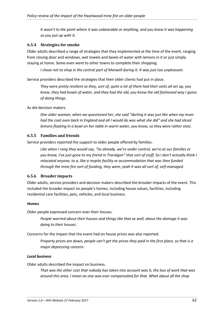*It wasn't to the point where it was unbearable or anything, and you knew it was happening so you put up with it.*

### **6.5.4 Strategies for smoke**

Older adults described a range of strategies that they implemented at the time of the event, ranging from closing door and windows, wet towels and bowls of water with lemons in it or just simply staying at home. Some even went to other towns to complete their shopping.

*I chose not to shop in the central part of Morwell during it. It was just too unpleasant.*

Service providers described the strategies that their older clients had put in place.

*They were pretty resilient so they, sort of, quite a lot of them had their units all set up, you know, they had bowls of water, and they had the old, you know the old fashioned way I guess of doing things.*

As did decision makers.

*One older woman, when we questioned her, she said "darling it was just like when my mum had the coal oven back in England and all I would do was what she did" and she had sliced lemons floating in a bowl on her table in warm water, you know, so they were rather stoic.*

### **6.5.5 Families and friends**

Service providers reported the support to older people offered by families.

*Like when I rang they would say, "its already, we're under control, we're at our families or you know, I've just gone to my friend in Traralgon" that sort of stuff. So I don't actually think I relocated anyone, to a, like a respite facility or accommodation that was then funded through the mine fire sort of funding, they were, yeah it was all sort of, self-managed.*

### **6.5.6 Broader impacts**

Older adults, service providers and decision makers described the broader impacts of the event. This included the broader impact on people's homes, including house values, facilities, including residential care facilities, pets, vehicles, and local business.

### *Homes*

Older people expressed concern over their houses.

*People worried about their houses and things like that as well, about the damage it was doing to their houses.*

Concerns for the impact that the event had on house prices was also reported.

*Property prices are down, people can't get the prices they paid in the first place, so that is a major depressing concern.*

### *Local business*

Older adults described the impact on business.

*That was the other cost that nobody has taken into account was it, the loss of work that was around this area, I mean no one was ever compensated for that. What about all the shop*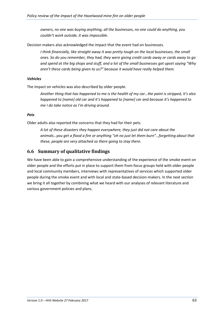*owners, no one was buying anything, all the businesses, no one could do anything, you couldn't work outside, it was impossible*.

Decision makers also acknowledged the impact that the event had on businesses.

*I think financially, like straight away it was pretty tough on the local businesses, the small ones. So do you remember, they had, they were giving credit cards away or cards away to go and spend at the big shops and stuff, and a lot of the small businesses got upset saying "Why aren't these cards being given to us?" because it would have really helped them.*

### *Vehicles*

The impact on vehicles was also described by older people.

*Another thing that has happened to me is the health of my car…the paint is stripped, it's also happened to [name] old car and it's happened to [name] car and because it's happened to me I do take notice as I'm driving around.*

### *Pets*

Older adults also reported the concerns that they had for their pets.

*A lot of these disasters they happen everywhere, they just did not care about the animals…you get a flood a fire or anything "oh no just let them burn"…forgetting about that these, people are very attached so there going to stay there.*

# **6.6 Summary of qualitative findings**

We have been able to gain a comprehensive understanding of the experience of the smoke event on older people and the efforts put in place to support them from focus groups held with older people and local community members, interviews with representatives of services which supported older people during the smoke event and with local and state-based decision-makers. In the next section we bring it all together by combining what we heard with our analyses of relevant literature and various government policies and plans.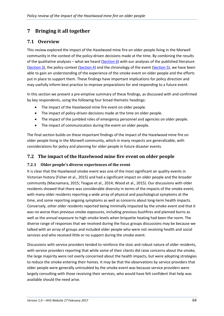# **7 Bringing it all together**

# **7.1 Overview**

This review explored the impact of the Hazelwood mine fire on older people living in the Morwell community in the context of the policy-driven decisions made at the time. By combining the results of the qualitative analyses – what we heard [\(Section 6\)](#page-41-0) with our analyses of the published literature [\(Section 3\)](#page-14-0), the policy context [\(Section 4\)](#page-43-0) and the chronology of the event [\(Section 5\)](#page-32-0), we have been able to gain an understanding of the experience of the smoke event on older people and the efforts put in place to support them. These findings have important implications for policy direction and may usefully inform best practice to improve preparations for and responding to a future event.

In this section we present a pre-emptive summary of these findings, as discussed with and confirmed by key respondents, using the following four broad thematic headings:

- The impact of the Hazelwood mine fire event on older people.
- The impact of policy-driven decisions made at the time on older people.
- The impact of the jumbled roles of emergency personnel and agencies on older people.
- The impact of communication during the event on older people.

The final section builds on these important findings of the impact of the Hazelwood mine fire on older people living in the Morwell community, which in many respects are generalizable, with considerations for policy and planning for older people in future disaster events.

# **7.2 The impact of the Hazelwood mine fire event on older people**

# **7.2.1 Older people's diverse experiences of the event**

It is clear that the Hazelwood smoke event was one of the most significant air quality events in Victorian history (Fisher et al., 2015) and had a significant impact on older people and the broader community (Macnamara, 2015; Teague et al., 2014; Wood et al., 2015). Our discussions with older residents showed that there was considerable diversity in terms of the impacts of the smoke event, with many older residents reporting a wide array of physical and psychological symptoms at the time, and some reporting ongoing symptoms as well as concerns about long-term health impacts. Conversely, other older residents reported being minimally impacted by the smoke event and that it was no worse than previous smoke exposures, including previous bushfires and planned burns as well as the annual exposure to high smoke levels when briquette heating had been the norm. The diverse range of responses that we received during the focus groups discussions may be because we talked with an array of groups and included older people who were not receiving health and social services and who received little or no support during the smoke event.

Discussions with service providers tended to reinforce the stoic and robust nature of older residents, with service providers reporting that while some of their clients did raise concerns about the smoke, the large majority were not overly concerned about the health impacts, but were adopting strategies to reduce the smoke entering their homes. It may be that the observations by service providers that older people were generally untroubled by the smoke event was because service providers were largely consulting with those receiving their services, who would have felt confident that help was available should the need arise.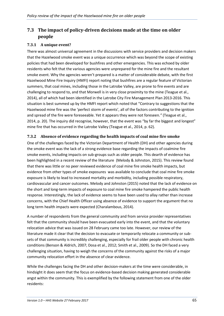# **7.3 The impact of policy-driven decisions made at the time on older people**

# **7.3.1 A unique event?**

There was almost universal agreement in the discussions with service providers and decision makers that the Hazelwood smoke event was a unique occurrence which was beyond the scope of existing policies that had been developed for bushfires and other emergencies. This was echoed by older residents who felt that the various agencies were unprepared for the mine fire and the resultant smoke event. Why the agencies weren't prepared is a matter of considerable debate, with the first Hazelwood Mine Fire Inquiry (HMFI) report noting that bushfires are a regular feature of Victorian summers, that coal mines, including those in the Latrobe Valley, are prone to fire events and are challenging to respond to, and that Morwell is in very close proximity to the mine (Teague et al., 2014), all of which had been identified in the Latrobe City Fire Management Plan 2013-2016. This situation is best summed up by the HMFI report which noted that "Contrary to suggestions that the Hazelwood mine fire was the 'perfect storm of events', all of the factors contributing to the ignition and spread of the fire were foreseeable. Yet it appears they were not foreseen*."* (Teague et al., 2014, p. 20). The inquiry did recognise, however, that the event was "by far the biggest and longest" mine fire that has occurred in the Latrobe Valley (Teague et al., 2014, p. 62).

# **7.3.2 Absence of evidence regarding the health impacts of coal mine fire smoke**

One of the challenges faced by the Victorian Department of Health (DH) and other agencies during the smoke event was the lack of a strong evidence base regarding the impacts of coalmine fire smoke events, including impacts on sub-groups such as older people. This dearth of evidence has been highlighted in a recent review of the literature (Melody & Johnston, 2015). This review found that there was little or no peer reviewed evidence of coal mine fire smoke health impacts, but evidence from other types of smoke exposures was available to conclude that coal mine fire smoke exposure is likely to lead to increased mortality and morbidity, including possible respiratory, cardiovascular and cancer outcomes. Melody and Johnston (2015) noted that the lack of evidence on the short and long-term impacts of exposure to coal mine fire smoke hampered the public health response. Interestingly, the lack of evidence seems to have been used to allay rather than increase concerns, with the Chief Health Officer using absence of evidence to support the argument that no long term health impacts were expected (Charalambous, 2014).

A number of respondents from the general community and from service provider representatives felt that the community should have been evacuated early into the event, and that the voluntary relocation advice that was issued on 28 February came too late. However, our review of the literature made it clear that the decision to evacuate or temporarily relocate a community or subsets of that community is incredibly challenging, especially for frail older people with chronic health conditions (Benson & Aldrich, 2007; Dosa et al., 2012; Smith et al., 2009). So the DH faced a very challenging situation, having to weigh the concerns of the community against the risks of a major community relocation effort in the absence of clear evidence.

While the challenges facing the DH and other decision-makers at the time were considerable, in hindsight it does seem that the focus on evidence-based decision making generated considerable angst within the community. This is exemplified by the following statement from one of the older residents: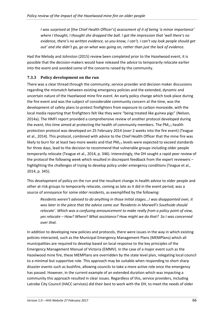*I was surprised at* [the Chief Health Officer's] *assessment of it of being 'a minor importance' where I thought, I thought she dropped the ball. I got the impression that 'well there's no evidence, there's no written evidence, so you know, I can't, I can't say look people should get out' and she didn't go, go on what was going on, rather than just the lack of evidence.*

Had the Melody and Johnston (2015) review been completed prior to the Hazelwood event, it is possible that the decision-makers would have released the advice to temporarily relocate earlier into the event and avoided some of the concerns raised by the community.

# **7.3.3 Policy development on the run**

There was a clear thread through the community, service provider and decision maker discussions regarding the mismatch between existing emergency policies and the extended, dynamic and uncertain nature of the Hazelwood mine fire event. An early policy change which took place during the fire event and was the subject of considerable community concern at the time, was the development of safety plans to protect firefighters from exposure to carbon monoxide, with the local media reporting that firefighters felt like they were "being treated like guinea pigs" (Nelson, 2014a). The HMFI report provided a comprehensive review of another protocol developed during the event, this time aimed at protecting the health of community members. The  $PM_{2.5}$  health protection protocol was developed on 25 February 2014 (over 2 weeks into the fire event) (Teague et al., 2014). This protocol, combined with advice to the Chief Health Officer that the mine fire was likely to burn for at least two more weeks and that  $PM<sub>2.5</sub>$  levels were expected to exceed standards for three days, lead to the decision to recommend that vulnerable groups including older people temporarily relocate (Teague et al., 2014, p. 346). Interestingly, the DH sought a rapid peer review of the protocol the following week which resulted in discrepant feedback from the expert reviewers – highlighting the challenges of trying to develop policy under emergency conditions (Teague et al., 2014, p. 345).

This development of policy on the run and the resultant change in health advice to older people and other at-risk groups to temporarily relocate, coming as late as it did in the event period, was a source of annoyance for some older residents, as exemplified by the following:

*Residents weren't advised to do anything in those initial stages...I was disappointed over, it was later in the piece that the advice came out 'Residents in Morwell's Southside should relocate'. Which was a confusing announcement to make really from a policy point of view, yes relocate – How? Where? What assistance? How might we do that? So I was concerned over that.*

In addition to developing new policies and protocols, there were issues in the way in which existing policies interacted, such as the Municipal Emergency Management Plans (MEMPlans) which all municipalities are required to develop based on local response to the key principles of the Emergency Management Manual of Victoria (EMMV). In the case of a major event such as the Hazelwood mine fire, these MEMPlans are overridden by the state level plan, relegating local council to a minimal but supportive role. This approach may be suitable when responding to short sharp disaster events such as bushfire, allowing councils to take a more active role once the emergency has passed. However, in the current example of an extended duration which was impacting a community this approach resulted in clear issues. Regardless of this, service providers, including Latrobe City Council (HACC services) did their best to work with the DH, to meet the needs of older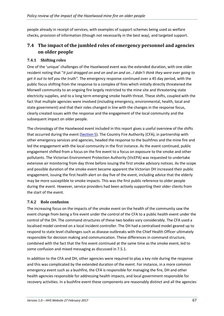people already in receipt of services, with examples of support schemes being used as welfare checks, provision of information (though not necessarily in the best way), and targeted support.

# **7.4 The impact of the jumbled roles of emergency personnel and agencies on older people**

# **7.4.1 Shifting roles**

One of the 'unique' challenges of the Hazelwood event was the extended duration, with one older resident noting that "*it just dragged on and on and on and on…I didn't think they were ever going to get it out to tell you the truth".* The emergency response continued over a 45 day period, with the public focus shifting from the response to a complex of fires which initially directly threatened the Morwell community to an ongoing fire largely restricted to the mine site and threatening state electricity supplies, and to a long term emerging smoke health threat. These shifts, coupled with the fact that multiple agencies were involved (including emergency, environmental, health, local and state government) and that their roles changed in line with the changes in the response focus, clearly created issues with the response and the engagement of the local community and the subsequent impact on older people.

The chronology of the Hazelwood event included in this report gives a useful overview of the shifts that occurred during the event [\(Section 5\)](#page-32-0). The Country Fire Authority (CFA), in partnership with other emergency services and agencies, headed the response to the bushfires and the mine fire and led the engagement with the local community in the first instance. As the event continued, public engagement shifted from a focus on the fire event to a focus on exposure to the smoke and other pollutants. The Victorian Environment Protection Authority (VicEPA) was requested to undertake extensive air monitoring from day three before issuing the first smoke advisory notices. As the scope and possible duration of the smoke event became apparent the Victorian DH increased their public engagement, issuing the first health alert on day five of the event, including advice that the elderly may be more susceptible to smoke impacts. This was the first public reference to older people during the event. However, service providers had been actively supporting their older clients from the start of the event.

# **7.4.2 Role confusion**

The increasing focus on the impacts of the smoke event on the health of the community saw the event change from being a fire event under the control of the CFA to a public health event under the control of the DH. The command structures of these two bodies vary considerably. The CFA used a localised model centred on a local incident controller. The DH had a centralised model geared up to respond to state level challenges such as disease outbreaks with the Chief Health Officer ultimately responsible for decision making and communication. These differences in command structure, combined with the fact that the fire event continued at the same time as the smoke event, led to some confusion and mixed messaging as discussed in 7.5.1.

In addition to the CFA and DH, other agencies were required to play a key role during the response and this was complicated by the extended duration of the event. For instance, in a more common emergency event such as a bushfire, the CFA is responsible for managing the fire, DH and other health agencies responsible for addressing health impacts, and local government responsible for recovery activities. In a bushfire event these components are reasonably distinct and all the agencies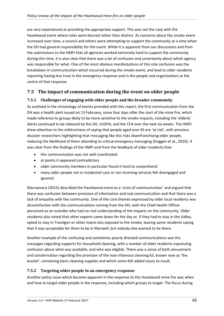are very experienced at providing the appropriate support. This was not the case with the Hazelwood event where roles were blurred rather than distinct. As concerns about the smoke event increased over time, a council and others were attempting to support the community at a time when the DH had general responsibility for the event. While it is apparent from our discussions and from the submissions to the HMFI that all agencies worked extremely hard to support the community during this time, it is also clear that there was a lot of confusion and uncertainty about which agency was responsible for what. One of the most obvious manifestations of this role confusion was the breakdown in communication which occurred during the smoke event, and lead to older residents reporting having less trust in the emergency response and in the people and organisations at the centre of that response.

# **7.5 The impact of communication during the event on older people**

# **7.5.1 Challenges of engaging with older people and the broader community**

As outlined in the chronology of events provided with this report, the first communication from the DH was a health alert issued on 13 February, some four days after the start of the mine fire, which made reference to groups likely to be more sensitive to the smoke impacts, including the 'elderly'. Alerts continued to be released by the DH, VicEPA, and the CFA over the next six weeks. The HMFI drew attention to the arbitrariness of saying that people aged over 65 are 'at risk', with previous disaster researchers highlighting that messaging like this risks disenfranchising older people, reducing the likelihood of them attending to critical emergency messaging (Duggan et al., 2010). It was clear from the findings of the HMFI and from the feedback of older residents that:

- this communication was not well coordinated
- at points it appeared contradictory
- older community members in particular found it hard to comprehend
- many older people not in residential care or not receiving services felt disengaged and ignored.

Macnamara (2015) described the Hazelwood event as a 'crisis of communication' and argued that there was confusion between provision of information and real communication and that there was a lack of empathy with the community. One of the core themes expressed by older local residents was dissatisfaction with the communications coming from the DH, with the Chief Health Officer perceived as an outsider who had no real understanding of the impacts on the community. Older residents also noted that other experts came down for the day or, if they had to stay in the Valley, opted to stay in Traralgon or other towns less exposed to the smoke, leaving some residents saying that it was acceptable for them to be in Morwell, but nobody else wanted to be there.

Another example of the confusing and sometimes poorly directed communications was the messages regarding supports for household cleaning, with a number of older residents expressing confusion about what was available, and who was eligible. There was a sense of both amusement and consternation regarding the provision of the now infamous cleaning kit, known now as 'the bucket', containing basic cleaning supplies and which some felt added injury to insult.

# **7.5.2 Targeting older people in an emergency response**

Another policy issue which became apparent in the response to the Hazelwood mine fire was when and how to target older people in the response, including which groups to target. The focus during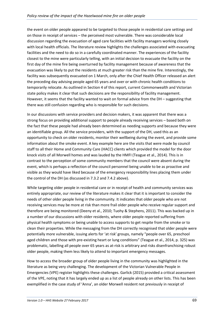the event on older people appeared to be targeted to those people in residential care settings and on those in receipt of services – the perceived most vulnerable. There was considerable local discussion regarding the evacuation of aged care facilities with facility managers working closely with local health officials. The literature review highlights the challenges associated with evacuating facilities and the need to do so in a carefully coordinated manner. The experiences of the facility closest to the mine were particularly telling, with an initial decision to evacuate the facility on the first day of the mine fire being overturned by facility management because of awareness that the evacuation was likely to put the residents at much greater risk than the mine fire. Interestingly, the facility was subsequently evacuated on 1 March, only after the Chief Health Officer released an alert the preceding day advising people aged 65 years and over or with chronic health conditions to temporarily relocate. As outlined in Section 4 of this report, current Commonwealth and Victorian state policy makes it clear that such decisions are the responsibility of facility management. However, it seems that the facility wanted to wait on formal advice from the DH – suggesting that there was still confusion regarding who is responsible for such decisions.

In our discussions with service providers and decision makers, it was apparent that there was a strong focus on providing additional support to people already receiving services – based both on the fact that these people had already been determined as needing supports and because they were an identifiable group. All the service providers, with the support of the DH, used this as an opportunity to check on older residents, monitor their wellbeing during the event, and provide some information about the smoke event. A key example here are the visits that were made by council staff to all their Home and Community Care (HACC) clients which provided the model for the door knock visits of all Morwell homes and was lauded by the HMFI (Teague et al., 2014). This is in contrast to the perception of some community members that the council were absent during the event, which is perhaps a reflection of the council personnel being unable to be as proactive and visible as they would have liked because of the emergency responsibility lines placing them under the control of the DH (as discussed in 7.3.2 and 7.4.2 above).

While targeting older people in residential care or in receipt of health and community services was entirely appropriate, our review of the literature makes it clear that it is important to consider the needs of other older people living in the community. It indicates that older people who are not receiving services may be more at risk than more frail older people who receive regular support and therefore are being monitored (Deeny et al., 2010; Tuohy & Stephens, 2011). This was backed up in a number of our discussions with older residents, where older people reported suffering from physical health symptoms or being unable to access supports to get respite from the smoke or to clean their properties. While the messaging from the DH correctly recognised that older people were potentially more vulnerable, issuing alerts for 'at risk' groups, namely "people over 65, preschool aged children and those with pre-existing heart or lung conditions" (Teague et al., 2014, p. 325) was problematic, labelling all people over 65 years as at-risk is arbitrary and risks disenfranchising robust older people, making them less likely to attend to important emergency messages.

How to access the broader group of older people living in the community was highlighted in the literature as being very challenging. The development of the Victorian Vulnerable People in Emergencies (VPE) register highlights these challenges. Garlick (2015) provided a critical assessment of the VPE, noting that it has largely ended up as a list of people already on other lists. This has been exemplified in the case study of 'Anna', an older Morwell resident not previously in receipt of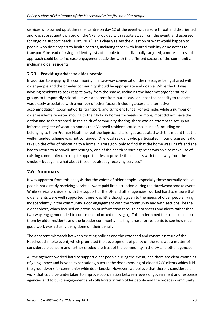services who turned up at the relief centre on day 12 of the event with a sore throat and disoriented and was subsequently placed on the VPE, provided with respite away from the event, and assessed for ongoing support needs (Diaz, 2016). This clearly raises the question of what would happen to people who don't report to health centres, including those with limited mobility or no access to transport? Instead of trying to identify lists of people to be individually targeted, a more successful approach could be to increase engagement activities with the different sectors of the community, including older residents.

# **7.5.3 Providing advice to older people**

In addition to engaging the community in a two-way conversation the messages being shared with older people and the broader community should be appropriate and doable. While the DH was advising residents to seek respite away from the smoke, including the later message for 'at risk' groups to temporarily relocate, it was apparent from our discussions that the capacity to relocate was closely associated with a number of other factors including access to alternative accommodation, social networks, transport, and sufficient funds. For example, while a number of older residents reported moving to their holiday homes for weeks or more, most did not have the option and so felt trapped. In the spirit of community sharing, there was an attempt to set up an informal register of vacation homes that Morwell residents could make use of, including one belonging to then Premier Napthine, but the logistical challenges associated with this meant that the well-intended scheme was not continued. One local resident who participated in our discussions did take up the offer of relocating to a home in Traralgon, only to find that the home was unsafe and she had to return to Morwell. Interestingly, one of the health service agencies was able to make use of existing community care respite opportunities to provide their clients with time away from the smoke – but again, what about those not already receiving services?

# **7.6 Summary**

It was apparent from this analysis that the voices of older people - especially those normally robust people not already receiving services - were paid little attention during the Hazelwood smoke event. While service providers, with the support of the DH and other agencies, worked hard to ensure that older clients were well supported, there was little thought given to the needs of older people living independently in the community. Poor engagement with the community and with sections like the older cohort, which focused on provision of information through data sheets and alerts rather than two-way engagement, led to confusion and mixed messaging. This undermined the trust placed on them by older residents and the broader community, making it hard for residents to see how much good work was actually being done on their behalf.

The apparent mismatch between existing policies and the extended and dynamic nature of the Hazelwood smoke event, which prompted the development of policy on the run, was a matter of considerable concern and further eroded the trust of the community in the DH and other agencies.

All the agencies worked hard to support older people during the event, and there are clear examples of going above and beyond expectations, such as the door knocking of older HACC clients which laid the groundwork for community wide door knocks. However, we believe that there is considerable work that could be undertaken to improve coordination between levels of government and response agencies and to build engagement and collaboration with older people and the broader community.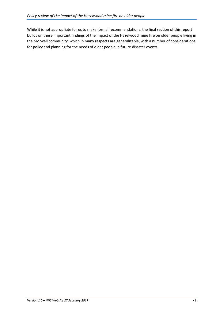While it is not appropriate for us to make formal recommendations, the final section of this report builds on these important findings of the impact of the Hazelwood mine fire on older people living in the Morwell community, which in many respects are generalizable, with a number of considerations for policy and planning for the needs of older people in future disaster events.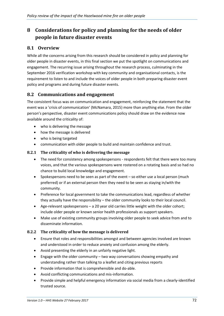# **8 Considerations for policy and planning for the needs of older people in future disaster events**

### **8.1 Overview**

While all the concerns arising from this research should be considered in policy and planning for older people in disaster events, in this final section we put the spotlight on communications and engagement. The recurring issue arising throughout the research process, culminating in the September 2016 verification workshop with key community and organisational contacts, is the requirement to listen to and include the voices of older people in both preparing disaster event policy and programs and during future disaster events.

### **8.2 Communications and engagement**

The consistent focus was on communication and engagement, reinforcing the statement that the event was a 'crisis of communication' (McNamara, 2015) more than anything else. From the older person's perspective, disaster event communications policy should draw on the evidence now available around the criticality of:

- who is delivering the message
- how the message is delivered
- who is being targeted
- communication with older people to build and maintain confidence and trust.

#### **8.2.1 The criticality of who is delivering the message**

- The need for consistency among spokespersons respondents felt that there were too many voices, and that the various spokespersons were rostered on a rotating basis and so had no chance to build local knowledge and engagement.
- Spokespersons need to be seen as part of the event so either use a local person (much preferred) or if an external person then they need to be seen as staying in/with the community.
- Preference for local government to take the communications lead, regardless of whether they actually have the responsibility – the older community looks to their local council.
- Age-relevant spokespersons a 20 year old carries little weight with the older cohort; include older people or known senior health professionals as support speakers.
- Make use of existing community groups involving older people to seek advice from and to disseminate information.

#### **8.2.2 The criticality of how the message is delivered**

- Ensure that roles and responsibilities amongst and between agencies involved are known and understood in order to reduce anxiety and confusion among the elderly.
- Avoid presenting the elderly in an unfairly negative light.
- Engage with the older community two way conversations showing empathy and understanding rather than talking to a leaflet and citing previous reports
- Provide information that is comprehensible and do-able.
- Avoid conflicting communications and mis-information.
- Provide simple and helpful emergency information via social media from a clearly-identified trusted source.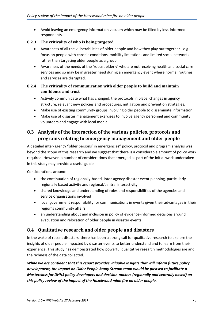• Avoid leaving an emergency information vacuum which may be filled by less-informed respondents.

#### **8.2.3 The criticality of who is being targeted**

- Awareness of all the vulnerabilities of older people and how they play out together e.g. focus on people with chronic conditions, mobility limitations and limited social networks rather than targeting older people as a group.
- Awareness of the needs of the 'robust elderly' who are not receiving health and social care services and so may be in greater need during an emergency event where normal routines and services are disrupted.

#### **8.2.4 The criticality of communication with older people to build and maintain confidence and trust**

- Actively communicate what has changed, the protocols in place, changes in agency structure, relevant new policies and procedures, mitigation and prevention strategies.
- Make use of existing community groups involving older people to disseminate information.
- Make use of disaster management exercises to involve agency personnel and community volunteers and engage with local media.

## **8.3 Analysis of the interaction of the various policies, protocols and programs relating to emergency management and older people**

A detailed inter-agency "older persons' in emergencies" policy, protocol and program analysis was beyond the scope of this research and we suggest that there is a considerable amount of policy work required. However, a number of considerations that emerged as part of the initial work undertaken in this study may provide a useful guide.

Considerations around:

- the continuation of regionally-based, inter-agency disaster event planning, particularly regionally based activity and regional/central interactivity
- shared knowledge and understanding of roles and responsibilities of the agencies and service organisations involved
- local government responsibility for communications in events given their advantages in their region's community affairs
- an understanding about and inclusion in policy of evidence-informed decisions around evacuation and relocation of older people in disaster events.

### **8.4 Qualitative research and older people and disasters**

In the wake of recent disasters, there has been a strong call for qualitative research to explore the insights of older people impacted by disaster events to better understand and to learn from their experience. This study has demonstrated how powerful qualitative research methodologies are and the richness of the data collected.

*While we are confident that this report provides valuable insights that will inform future policy development, the Impact on Older People Study Stream team would be pleased to facilitate a Masterclass for DHHS policy-developers and decision-makers (regionally and centrally based) on this policy review of the impact of the Hazelwood mine fire on older people.*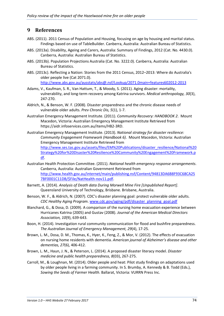# **9 References**

- ABS. (2011). 2011 Census of Population and Housing, focusing on age by housing and marital status. Findings based on use of TableBuilder. Canberra, Australia: Australian Bureau of Statistics.
- ABS. (2013a). Disability, Ageing and Carers, Australia: Summary of Findings, 2012 (Cat. No. 4430.0). Canberra, Australia: Australian Bureau of Statistics.
- ABS. (2013b). Population Projections Australia (Cat. No. 3222.0). Canberra, Australia: Australian Bureau of Statistics.
- ABS. (2013c). Reflecting a Nation: Stories from the 2011 Census, 2012–2013: Where do Australia's older people live (Cat 2071.0). <http://www.abs.gov.au/ausstats/abs@.nsf/Lookup/2071.0main+features602012-2013>
- Adams, V., Kaufman, S. R., Van Hattum, T., & Moody, S. (2011). Aging disaster: mortality, vulnerability, and long-term recovery among Katrina survivors. *Medical anthropology, 30*(3), 247-270.
- Aldrich, N., & Benson, W. F. (2008). Disaster preparedness and the chronic disease needs of vulnerable older adults. *Prev Chronic Dis, 5*(1), 1-7.
- Australian Emergency Management Institute. (2011). *Community Recovery: HANDBOOK 2*. Mount Macedon, Victoria: Australian Emergency Management Institute Retrieved from https://aidr.infoservices.com.au/items/HB2-3RD.
- Australian Emergency Management Institute. (2013). *National strategy for disaster resilience: Community Engagement Framework (Handbook 6)*. Mount Macedon, Victoria: Australian Emergency Management Institute Retrieved from [http://www.ses.tas.gov.au/assets/files/EM%20Publications/disaster\\_resilience/National%20](http://www.ses.tas.gov.au/assets/files/EM%20Publications/disaster_resilience/National%20Strategy%20for%20Disaster%20Resilience%20Community%20Engagement%20Framework.pdf) [Strategy%20for%20Disaster%20Resilience%20Community%20Engagement%20Framework.p](http://www.ses.tas.gov.au/assets/files/EM%20Publications/disaster_resilience/National%20Strategy%20for%20Disaster%20Resilience%20Community%20Engagement%20Framework.pdf) [df.](http://www.ses.tas.gov.au/assets/files/EM%20Publications/disaster_resilience/National%20Strategy%20for%20Disaster%20Resilience%20Community%20Engagement%20Framework.pdf)
- Australian Health Protection Committee. (2011). *National health emergency response arrangements*. Canberra, Australia: Australian Government Retrieved from [http://www.health.gov.au/internet/main/publishing.nsf/Content/94813DA6B8F93C68CA25](http://www.health.gov.au/internet/main/publishing.nsf/Content/94813DA6B8F93C68CA257BF0001C11DB/$File/NatHealth-nov11.pdf) [7BF0001C11DB/\\$File/NatHealth-nov11.pdf.](http://www.health.gov.au/internet/main/publishing.nsf/Content/94813DA6B8F93C68CA257BF0001C11DB/$File/NatHealth-nov11.pdf)
- Barnett, A. (2014). *Analysis of Death data During Morwell Mine Fire [Unpublished Report]*. Queensland University of Technology, Brisbane. Brisbane, Australia.
- Benson, W. F., & Aldrich, N. (2007). CDC's disaster planning goal: protect vulnerable older adults. *CDC Healthy Aging Program*. [www.cdc.gov/aging/pdf/disaster\\_planning\\_goal.pdf](http://www.cdc.gov/aging/pdf/disaster_planning_goal.pdf)
- Blanchard, G., & Dosa, D. (2009). A comparison of the nursing home evacuation experience between Hurricanes Katrina (2005) and Gustav (2008). *Journal of the American Medical Directors Association, 10*(9), 639-643.
- Boon, H. (2014). Investigation rural community communication for flood and bushfire preparedness. *The Australian Journal of Emergency Management, 29*(4), 17-25.
- Brown, L. M., Dosa, D. M., Thomas, K., Hyer, K., Feng, Z., & Mor, V. (2012). The effects of evacuation on nursing home residents with dementia. *American journal of Alzheimer's disease and other dementias, 27*(6), 406-412.
- Brown, L. M., Haun, J. N., & Peterson, L. (2014). A proposed disaster literacy model. *Disaster medicine and public health preparedness, 8*(03), 267-275.
- Carroll, M., & Loughnan, M. (2014). Older people and heat: Pilot study findings on adaptations used by older people living in a farming community. In S. Brumby, A. Kennedy & B. Todd (Eds.), *Sowing the Seeds of Farmer Health*. Ballarat, Victoria: VURRN Press Inc.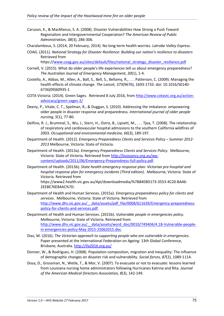Caruson, K., & MacManus, S. A. (2008). Disaster Vulnerabilities How Strong a Push Toward Regionalism and Intergovernmental Cooperation? *The American Review of Public Administration, 38*(3), 286-306.

Charalambous, S. (2014, 20 February, 2014). No long-term health worries. *Latrobe Valley Express*.

COAG. (2011). *National Strategy for Disaster Resilience: Building our nation's resilience to disasters*  Retrieved from

https:/[/www.coag.gov.au/sites/default/files/national\\_strategy\\_disaster\\_resilience.pdf](http://www.coag.gov.au/sites/default/files/national_strategy_disaster_resilience.pdf)

- Cornell, V. (2015). What do older people's life experiences tell us about emergency preparedness? *The Australian Journal of Emergency Management, 30*(1), 1-4.
- Costello, A., Abbas, M., Allen, A., Ball, S., Bell, S., Bellamy, R., . . . Patterson, C. (2009). Managing the health effects of climate change. *The Lancet, 373*(9676), 1693-1733. doi: 10.1016/S0140- 6736(09)60935-1
- COTA Victoria. (2014). Green Sages. Retrieved 8 July 2016, from [http://www.cotavic.org.au/action](http://www.cotavic.org.au/action-advocacy/green-sages-2/)[advocacy/green-sages-2/](http://www.cotavic.org.au/action-advocacy/green-sages-2/)
- Deeny, P., Vitale, C. T., Spelman, R., & Duggan, S. (2010). Addressing the imbalance: empowering older people in disaster response and preparedness. *International journal of older people nursing, 5*(1), 77-80.
- Delfino, R. J., Brummel, S., Wu, J., Stern, H., Ostro, B., Lipsett, M., . . . Tjoa, T. (2008). The relationship of respiratory and cardiovascular hospital admissions to the southern California wildfires of 2003. *Occupational and environmental medicine, 66*(3), 189-197.
- Department of Health. (2012). *Emergency Preparedness Clients and Services Policy – Summer 2012- 2013* Melbourne, Victoria: State of Victoria.
- Department of Health. (2013a). *Emergency Preparedness Clients and Services Policy*. Melbourne, Victoria: State of Victoria. Retrieved from [http://buoyancy.org.au/wp](http://buoyancy.org.au/wp-content/uploads/2011/06/Emergency-Preparedness-full-policy.pdf)[content/uploads/2011/06/Emergency-Preparedness-full-policy.pdf.](http://buoyancy.org.au/wp-content/uploads/2011/06/Emergency-Preparedness-full-policy.pdf)
- Department of Health. (2013b). *State health emergency response plan: Victorian pre-hospital and hospital response plan for emergency incidents (Third edition)*. Melbourne, Victoria: State of Victoria. Retrieved from

https://www2.health.vic.gov.au/Api/downloadmedia/%7B84EBD173-3553-4C20-BA46- 2EEBE76E84AC%7D.

- Department of Health and Human Services. (2015a). *Emergency preparedness policy for clients and services*. Melbourne, Victoria: State of Victoria. Retrieved from [http://www.dhs.vic.gov.au/\\_\\_data/assets/pdf\\_file/0008/611639/Emergency-preparedness](http://www.dhs.vic.gov.au/__data/assets/pdf_file/0008/611639/Emergency-preparedness-policy-for-clients-and-services.pdf)[policy-for-clients-and-services.pdf.](http://www.dhs.vic.gov.au/__data/assets/pdf_file/0008/611639/Emergency-preparedness-policy-for-clients-and-services.pdf)
- Department of Health and Human Services. (2015b). *Vulnerable people in emergencies policy*. Melbourne, Victoria: State of Victoria. Retrieved from [http://www.dhs.vic.gov.au/\\_\\_data/assets/word\\_doc/0010/749404/4.18-Vulnerable-people](http://www.dhs.vic.gov.au/__data/assets/word_doc/0010/749404/4.18-Vulnerable-people-in-emergencies-policy-May-2015-25062015.doc)[in-emergencies-policy-May-2015-25062015.doc.](http://www.dhs.vic.gov.au/__data/assets/word_doc/0010/749404/4.18-Vulnerable-people-in-emergencies-policy-May-2015-25062015.doc)
- Diaz, M. (2016). *The Victorian approach to supporting people who are vulnerable in emergencies*. Paper presented at the International Federation on Ageing: 13th Global Conference, Brisbane, Australia.<http://ifa2016.org.au/>
- Donner, W., & Rodríguez, H. (2008). Population composition, migration and inequality: The influence of demographic changes on disaster risk and vulnerability. *Social forces, 87*(2), 1089-1114.
- Dosa, D., Grossman, N., Wetle, T., & Mor, V. (2007). To evacuate or not to evacuate: lessons learned from Louisiana nursing home administrators following Hurricanes Katrina and Rita. *Journal of the American Medical Directors Association, 8*(3), 142-149.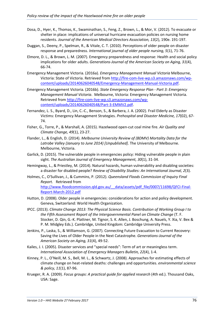- Dosa, D., Hyer, K., Thomas, K., Swaminathan, S., Feng, Z., Brown, L., & Mor, V. (2012). To evacuate or shelter in place: implications of universal hurricane evacuation policies on nursing home residents. *Journal of the American Medical Directors Association, 13*(2), 190e. 191-197.
- Duggan, S., Deeny, P., Spelman, R., & Vitale, C. T. (2010). Perceptions of older people on disaster response and preparedness. *International journal of older people nursing, 5*(1), 71-76.
- Elmore, D. L., & Brown, L. M. (2007). Emergency preparedness and response: Health and social policy implications for older adults. *Generations-Journal of the American Society on Aging, 31*(4), 66-74.
- Emergency Management Victoria. (2016a). *Emergency Management Manual Victoria* Melbourne, Victoria: State of Victoria. Retrieved from [http://fire-com-live-wp.s3.amazonaws.com/wp](http://fire-com-live-wp.s3.amazonaws.com/wp-content/uploads/20140626040548/Emergency-Management-Manual-Victoria.pdf)[content/uploads/20140626040548/Emergency-Management-Manual-Victoria.pdf.](http://fire-com-live-wp.s3.amazonaws.com/wp-content/uploads/20140626040548/Emergency-Management-Manual-Victoria.pdf)
- Emergency Management Victoria. (2016b). *State Emergency Response Plan - Part 3: Emergency Management Manual Victoria*. Melbourne, Victoria: Emergency Management Victoria. Retrieved from [http://fire-com-live-wp.s3.amazonaws.com/wp](http://fire-com-live-wp.s3.amazonaws.com/wp-content/uploads/20140626040548/Part-3-EMMV2.pdf)[content/uploads/20140626040548/Part-3-EMMV2.pdf.](http://fire-com-live-wp.s3.amazonaws.com/wp-content/uploads/20140626040548/Part-3-EMMV2.pdf)
- Fernandez, L. S., Byard, D., Lin, C.-C., Benson, S., & Barbera, J. A. (2002). Frail Elderly as Disaster Victims: Emergency Management Strategies. *Prehospital and Disaster Medicine, 17*(02), 67- 74.
- Fisher, G., Torre, P., & Marshall, A. (2015). Hazelwood open-cut coal mine fire. *Air Quality and Climate Change, 49*(1), 23-27.
- Flander, L., & English, D. (2014). *Melbourne University Review of (BDMV) Mortality Data for the Latrobe Valley (January to June 2014) [Unpublished]*. The University of Melbourne. Melbourne, Victoria.
- Garlick, D. (2015). The vulnerable people in emergencies policy: Hiding vulnerable people in plain sight. *The Australian Journal of Emergency Management, 30*(1), 31-34.
- Hemingway, L., & Priestley, M. (2014). Natural hazards, human vulnerability and disabling societies: a disaster for disabled people? *Review of Disability Studies: An International Journal, 2*(3).
- Holmes, C., O'Sullivan, J., & Cummins, P. (2012). *Queensland Floods Commission of Inquiry Final Report.* Retrieved from [http://www.floodcommission.qld.gov.au/\\_\\_data/assets/pdf\\_file/0007/11698/QFCI-Final-](http://www.floodcommission.qld.gov.au/__data/assets/pdf_file/0007/11698/QFCI-Final-Report-March-2012.pdf)
- Hutton, D. (2008). Older people in emergencies: considerations for action and policy development. Geneva, Switzerland: World Health Organization.
- IPCC. (2013). *Climate Change 2013: The Physical Science Basis. Contribution of Working Group I to the Fifth Assessment Report of the Intergovernmental Panel on Climate Change* (T. F. Stocker, D. Qin, G.-K. Plattner, M. Tignor, S. K. Allen, J. Boschung, A. Nauels, Y. Xia, V. Bex & P. M. Midgley Eds.). Cambridge, United Kingdom: Cambridge University Press.
- Jenkins, P., Laska, S., & Williamson, G. (2007). Connecting Future Evacuation to Current Recovery: Saving the Lives of Older People in the Next Catastrophe. *Generations-Journal of the American Society on Aging, 31*(4), 49-52.
- Kailes, J. I. (2005). Disaster services and "special needs": Term of art or meaningless term. *International Association of Emergency Managers Bulletin, 22*(4), 1-4.
- Kinney, P. L., O'Neill, M. S., Bell, M. L., & Schwartz, J. (2008). Approaches for estimating effects of climate change on heat-related deaths: challenges and opportunities. *environmental science & policy, 11*(1), 87-96.
- Krueger, R. A. (2009). *Focus groups: A practical guide for applied research* (4th ed.). Thousand Oaks, USA: Sage.

[Report-March-2012.pdf](http://www.floodcommission.qld.gov.au/__data/assets/pdf_file/0007/11698/QFCI-Final-Report-March-2012.pdf)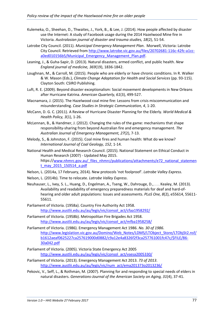- Kulemeka, O., Sheehan, D., Thwaites, J., York, B., & Lee, J. (2014). How people affected by disaster use the Internet: A study of Facebook usage during the 2014 Hazelwood Mine fire in Victoria. *Australasian journal of disaster and trauma studies, 18*(2), 51-54.
- Latrobe City Council. (2011). *Municipal Emergency Management Plan*. Morwell, Victoria: Latrobe City Council. Retrieved from [http://www.latrobe.vic.gov.au/files/20702681-116c-42fc-a1cc](http://www.latrobe.vic.gov.au/files/20702681-116c-42fc-a1cc-a0ed010156b5/Municipal_Emergency_Management_Plan.pdf)a0ed010156b5/Municipal Emergency Management Plan.pdf.
- Leaning, J., & Guha-Sapir, D. (2013). Natural disasters, armed conflict, and public health. *New England journal of medicine, 369*(19), 1836-1842.
- Loughnan, M., & Carroll, M. (2015). People who are elderly or have chronic conditions. In R. Walker & W. Mason (Eds.), *Climate Change Adaptation for Health and Social Services* (pp. 93-115). Clayton South: CSIRO Publishing.
- Luft, R. E. (2009). Beyond disaster exceptionalism: Social movement developments in New Orleans after Hurricane Katrina. *American Quarterly, 61*(3), 499-527.
- Macnamara, J. (2015). The Hazelwood coal mine fire: Lessons from crisis miscommunication and misunderstanding. *Case Studies in Strategic Communication, 4*, 1-20.
- McCann, D. G. C. (2011). A Review of Hurricane Disaster Planning for the Elderly. *World Medical & Health Policy, 3*(1), 1-26.
- McLennan, B., & Handmer, J. (2012). Changing the rules of the game: mechanisms that shape responsibility-sharing from beyond Australian fire and emergency management. *The Australian Journal of Emergency Management, 27*(2), 7-13.
- Melody, S., & Johnston, F. (2015). Coal mine fires and human health: What do we know? *International Journal of Coal Geology, 152*, 1-14.
- National Health and Medical Research Council. (2015). National Statement on Ethical Conduct in Human Research (2007) - Updated May 2015. https:/[/www.nhmrc.gov.au/\\_files\\_nhmrc/publications/attachments/e72\\_national\\_statemen](http://www.nhmrc.gov.au/_files_nhmrc/publications/attachments/e72_national_statement_may_2015_150514_a.pdf) [t\\_may\\_2015\\_150514\\_a.pdf](http://www.nhmrc.gov.au/_files_nhmrc/publications/attachments/e72_national_statement_may_2015_150514_a.pdf)
- Nelson, L. (2014a, 17 February, 2014). New protocols 'not foolproof'. *Latrobe Valley Express*.
- Nelson, L. (2014b). Time to relocate. *Latrobe Valley Express*.
- Neuhauser, L., Ivey, S. L., Huang, D., Engelman, A., Tseng, W., Dahrouge, D., . . . Kealey, M. (2013). Availability and readability of emergency preparedness materials for deaf and hard-ofhearing and older adult populations: Issues and assessments. *PLoS One, 8*(2), e55614, 55611- 55611.
- Parliament of Victoria. (1958a). Country Fire Authority Act 1958. [http://www.austlii.edu.au/au/legis/vic/consol\\_act/cfaa1958292/](http://www.austlii.edu.au/au/legis/vic/consol_act/cfaa1958292/)
- Parliament of Victoria. (1958b). Metropolitan Fire Brigades Act 1958. [http://www.austlii.edu.au/au/legis/vic/consol\\_act/mfba1958258/](http://www.austlii.edu.au/au/legis/vic/consol_act/mfba1958258/)
- Parliament of Victoria. (1986). Emergency Management Act 1986. *No. 30 of 1986*. [http://www.legislation.vic.gov.au/Domino/Web\\_Notes/LDMS/LTObject\\_Store/LTObjSt2.nsf/](http://www.legislation.vic.gov.au/Domino/Web_Notes/LDMS/LTObject_Store/LTObjSt2.nsf/b1612aeaf0625227ca257619000d0882/c9a12e4a8326f2f3ca257761001fc47c/$FILE/86-30a042.pdf) [b1612aeaf0625227ca257619000d0882/c9a12e4a8326f2f3ca257761001fc47c/\\$FILE/86-](http://www.legislation.vic.gov.au/Domino/Web_Notes/LDMS/LTObject_Store/LTObjSt2.nsf/b1612aeaf0625227ca257619000d0882/c9a12e4a8326f2f3ca257761001fc47c/$FILE/86-30a042.pdf) [30a042.pdf](http://www.legislation.vic.gov.au/Domino/Web_Notes/LDMS/LTObject_Store/LTObjSt2.nsf/b1612aeaf0625227ca257619000d0882/c9a12e4a8326f2f3ca257761001fc47c/$FILE/86-30a042.pdf)
- Parliament of Victoria. (2005). Victoria State Emergency Act 2005 [http://www.austlii.edu.au/au/legis/vic/consol\\_act/vsesa2005330/](http://www.austlii.edu.au/au/legis/vic/consol_act/vsesa2005330/)
- Parliament of Victoria. (2013). Emergency Management Act 2013. *73 of 2013*. [http://www.austlii.edu.au/au/legis/vic/num\\_act/ema201373o2013236/](http://www.austlii.edu.au/au/legis/vic/num_act/ema201373o2013236/)
- Pekovic, V., Seff, L., & Rothman, M. (2007). Planning for and responding to special needs of elders in natural disasters. *Generations-Journal of the American Society on Aging, 31*(4), 37-41.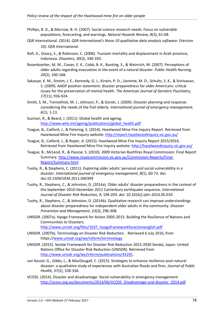- Phillips, B. D., & Morrow, B. H. (2007). Social science research needs: Focus on vulnerable populations, forecasting, and warnings. *Natural Hazards Review, 8*(3), 61-68.
- QSR International. (2014). *QSR International's Nvivo 10 qualitative data analysis software*. (Version 10): QSR International.
- Rofi, A., Doocy, S., & Robinson, C. (2006). Tsunami mortality and displacement in Aceh province, Indonesia. *Disasters, 30*(3), 340-350.
- Rosenkoetter, M. M., Covan, E. K., Cobb, B. K., Bunting, S., & Weinrich, M. (2007). Perceptions of older adults regarding evacuation in the event of a natural disaster. *Public Health Nursing, 24*(2), 160-168.
- Sakauye, K. M., Streim, J. E., Kennedy, G. J., Kirwin, P. D., Llorente, M. D., Schultz, S. K., & Srinivasan, S. (2009). AAGP position statement: disaster preparedness for older Americans: critical issues for the preservation of mental health. *The American Journal of Geriatric Psychiatry, 17*(11), 916-924.
- Smith, S. M., Tremethick, M. J., Johnson, P., & Gorski, J. (2009). Disaster planning and response: considering the needs of the frail elderly. *International journal of emergency management, 6*(1), 1-13.
- Suzman, R., & Beard, J. (2011). Global health and ageing. [http://www.who.int/ageing/publications/global\\_health.pdf](http://www.who.int/ageing/publications/global_health.pdf)
- Teague, B., Catford, J., & Petering, S. (2014). Hazelwood Mine Fire Inquiry Report. Retrieved from Hazelwood Mine Fire Inquiry website[: http://report.hazelwoodinquiry.vic.gov.au/](http://report.hazelwoodinquiry.vic.gov.au/)
- Teague, B., Catford, J., & Roper, A. (2015). Hazelwood Mine Fire Inquiry Report 2015/2016. Retrieved from Hazelwood Mine Fire Inquiry website[: http://hazelwoodinquiry.vic.gov.au/](http://hazelwoodinquiry.vic.gov.au/)
- Teague, B., McLeod, R., & Pascoe, S. (2010). 2009 Victorian Bushfires Royal Commission: Final Report Summary. [http://www.royalcommission.vic.gov.au/Commission-Reports/Final-](http://www.royalcommission.vic.gov.au/Commission-Reports/Final-Report/Summary.html)[Report/Summary.html](http://www.royalcommission.vic.gov.au/Commission-Reports/Final-Report/Summary.html)
- Tuohy, R., & Stephens, C. (2011). Exploring older adults' personal and social vulnerability in a disaster. *International journal of emergency management, 8*(1), 60-73. doi: doi:10.1504/IJEM.2011.040399
- Tuohy, R., Stephens, C., & Johnston, D. (2014a). Older adults' disaster preparedness in the context of the September 2010-December 2012 Canterbury earthquake sequence. *International Journal of Disaster Risk Reduction, 9*, 194-203. doi: 10.1016/j.ijdrr.2014.05.010
- Tuohy, R., Stephens, C., & Johnston, D. (2014b). Qualitative research can improve understandings about disaster preparedness for independent older adults in the community. *Disaster Prevention and Management, 23*(3), 296-308.
- UNISDR. (2007a). Hyogo Framework for Action 2005-2015: Building the Resilience of Nations and Communities to Disasters.

[http://www.unisdr.org/files/1037\\_hyogoframeworkforactionenglish.pdf](http://www.unisdr.org/files/1037_hyogoframeworkforactionenglish.pdf)

- UNISDR. (2007b). Terminology on Disaster Risk Reduction. Retrieved 6 July 2016, from https:/[/www.unisdr.org/we/inform/terminology](http://www.unisdr.org/we/inform/terminology)
- UNISDR. (2015). Sendai Framework for Disaster Risk Reduction 2015-2030 Sendai, Japan: United Nations Office for Disaster Risk Reduction (UNISDR). Retrieved from [http://www.unisdr.org/we/inform/publications/43291.](http://www.unisdr.org/we/inform/publications/43291)
- van Kessel, G., Gibbs, L., & MacDougall, C. (2015). Strategies to enhance resilience post-natural disaster: a qualitative study of experiences with Australian floods and fires. *Journal of Public Health, 37*(2), 328-336.
- VCOSS. (2014). Disaster and disadvantage: Social vulnerability in emergency management. [http://vcoss.org.au/documents/2014/06/VCOSS\\_Disadvantage-and-disaster\\_2014.pdf](http://vcoss.org.au/documents/2014/06/VCOSS_Disadvantage-and-disaster_2014.pdf)